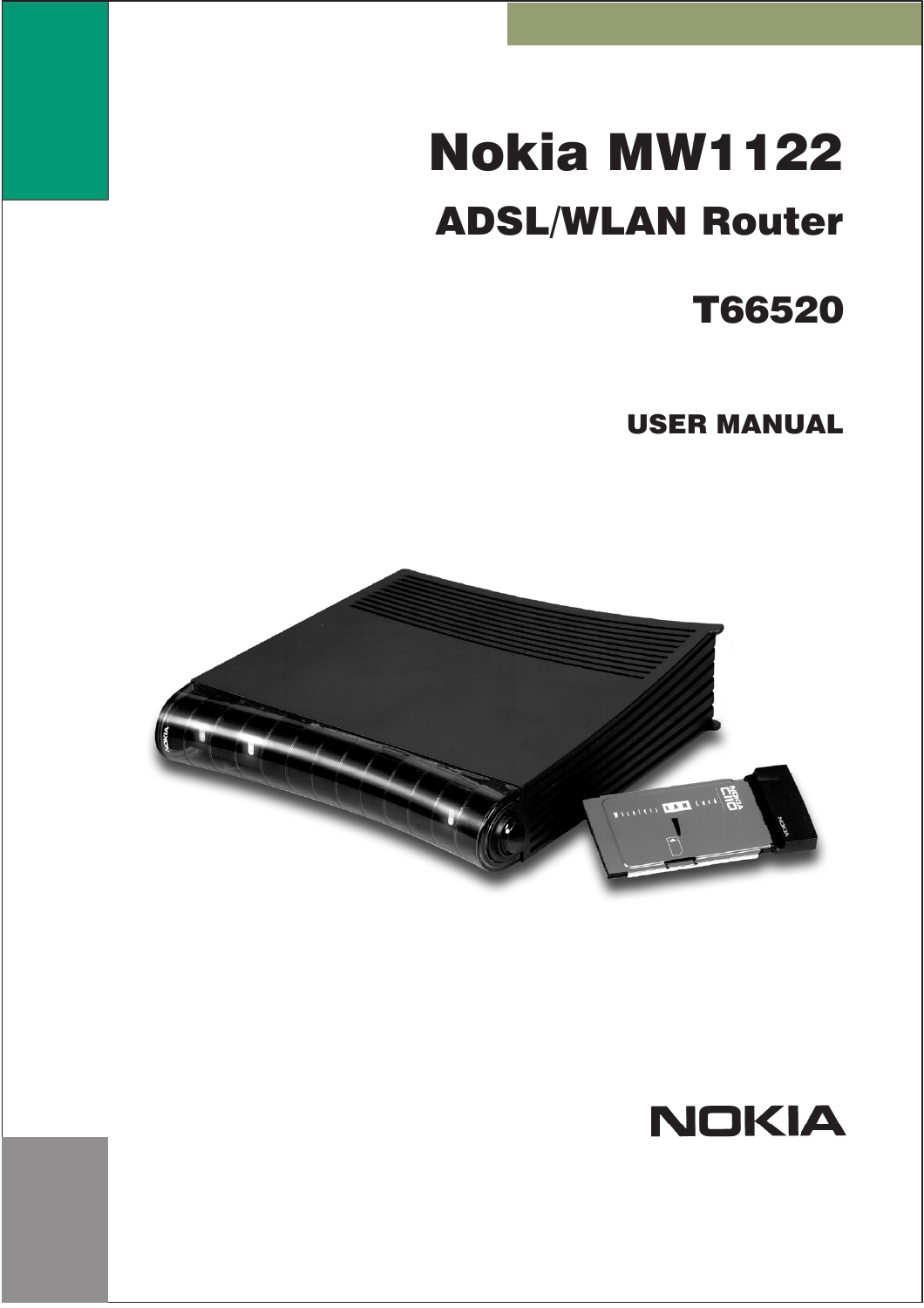# Nokia MW1122 **ADSL/WLAN Router**

## **T66520**

**USER MANUAL** 



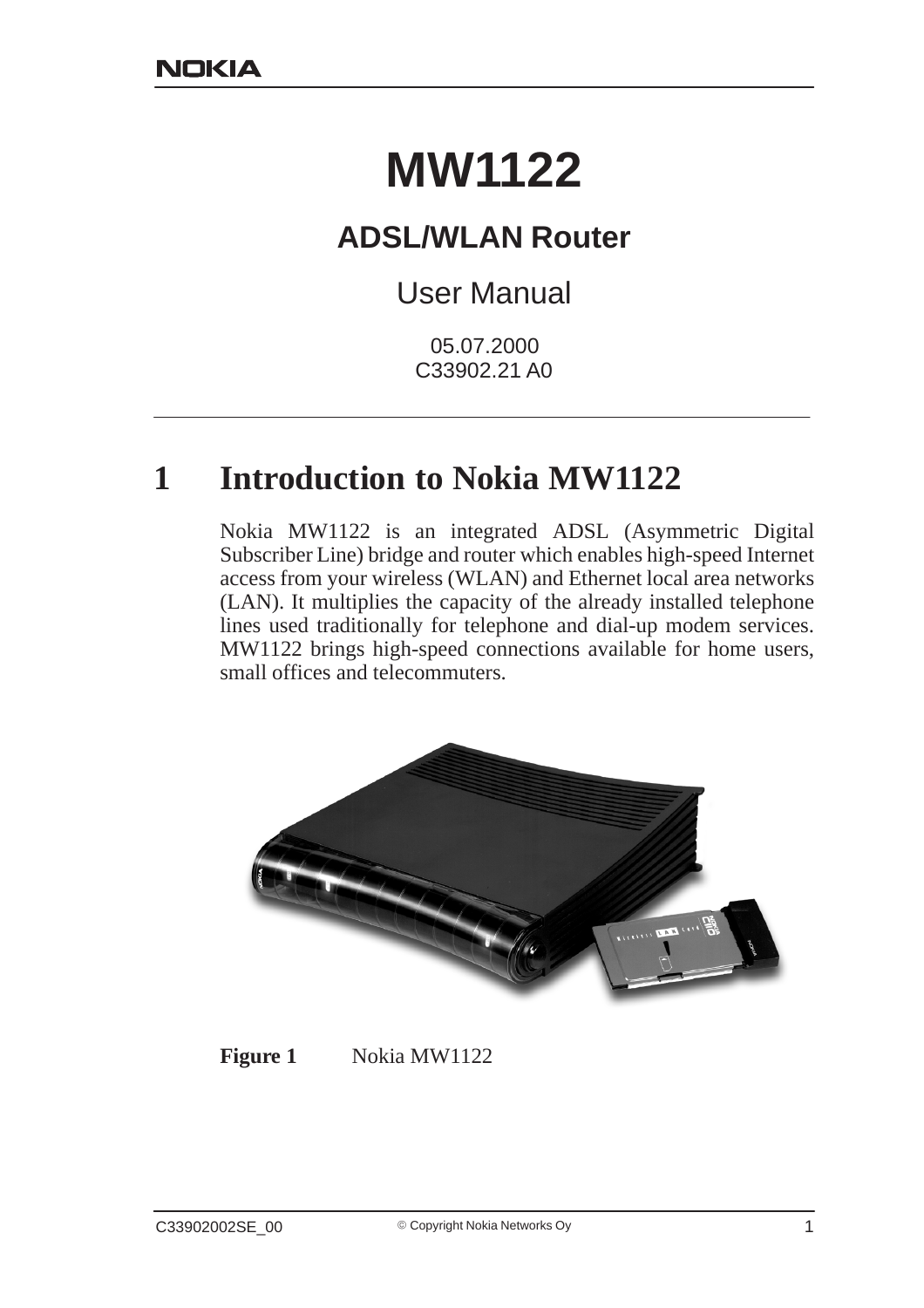# **MW1122**

## **ADSL/WLAN Router**

## User Manual

05.07.2000 C33902.21 A0

## **1 Introduction to Nokia MW1122**

Nokia MW1122 is an integrated ADSL (Asymmetric Digital Subscriber Line) bridge and router which enables high-speed Internet access from your wireless (WLAN) and Ethernet local area networks (LAN). It multiplies the capacity of the already installed telephone lines used traditionally for telephone and dial-up modem services. MW1122 brings high-speed connections available for home users, small offices and telecommuters.



#### **Figure 1** Nokia MW1122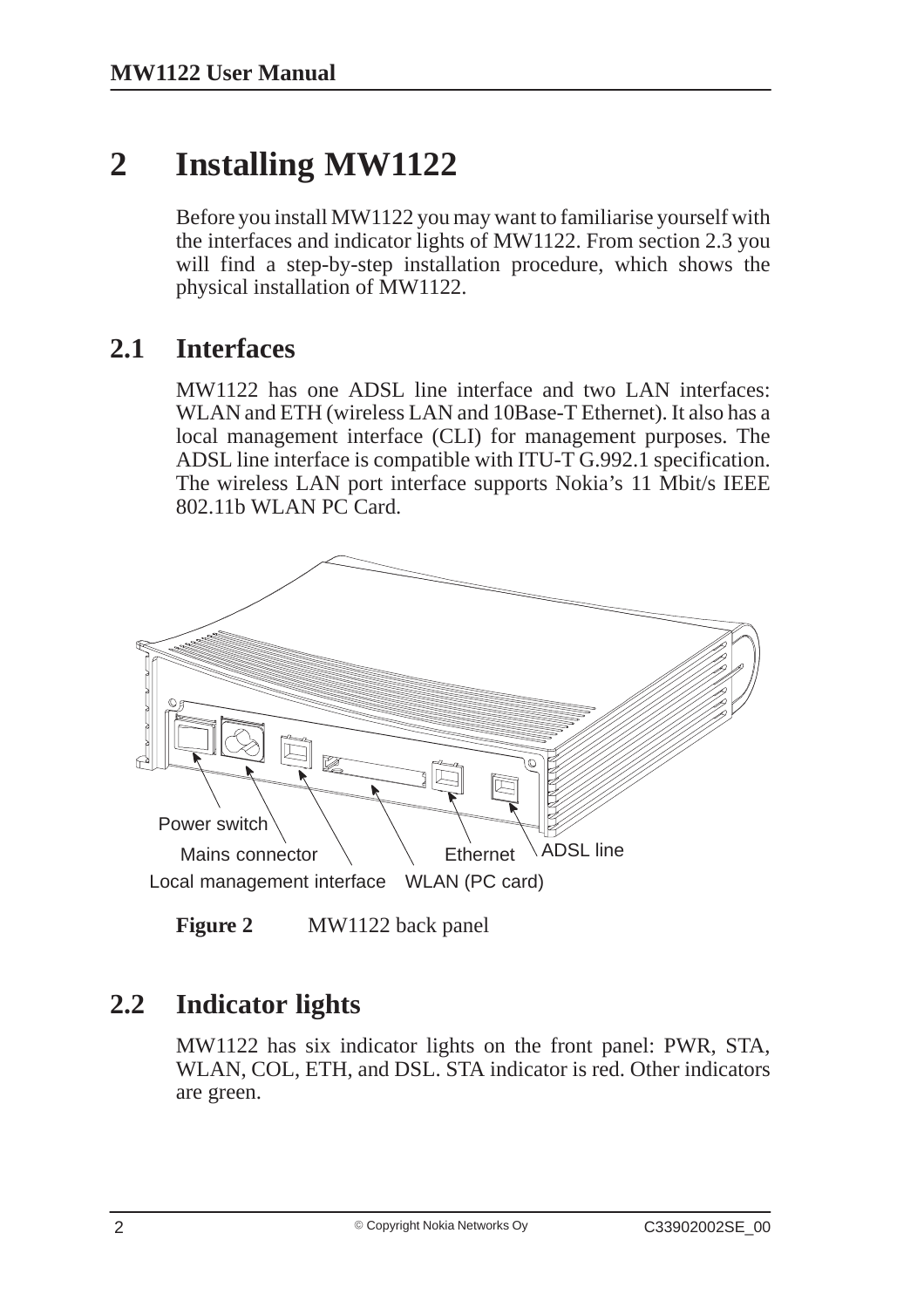## **2 Installing MW1122**

Before you install MW1122 you may want to familiarise yourself with the interfaces and indicator lights of MW1122. From section 2.3 you will find a step-by-step installation procedure, which shows the physical installation of MW1122.

## **2.1 Interfaces**

MW1122 has one ADSL line interface and two LAN interfaces: WLAN and ETH (wireless LAN and 10Base-T Ethernet). It also has a local management interface (CLI) for management purposes. The ADSL line interface is compatible with ITU-T G.992.1 specification. The wireless LAN port interface supports Nokia's 11 Mbit/s IEEE 802.11b WLAN PC Card.



**Figure 2** MW1122 back panel

## **2.2 Indicator lights**

MW1122 has six indicator lights on the front panel: PWR, STA, WLAN, COL, ETH, and DSL. STA indicator is red. Other indicators are green.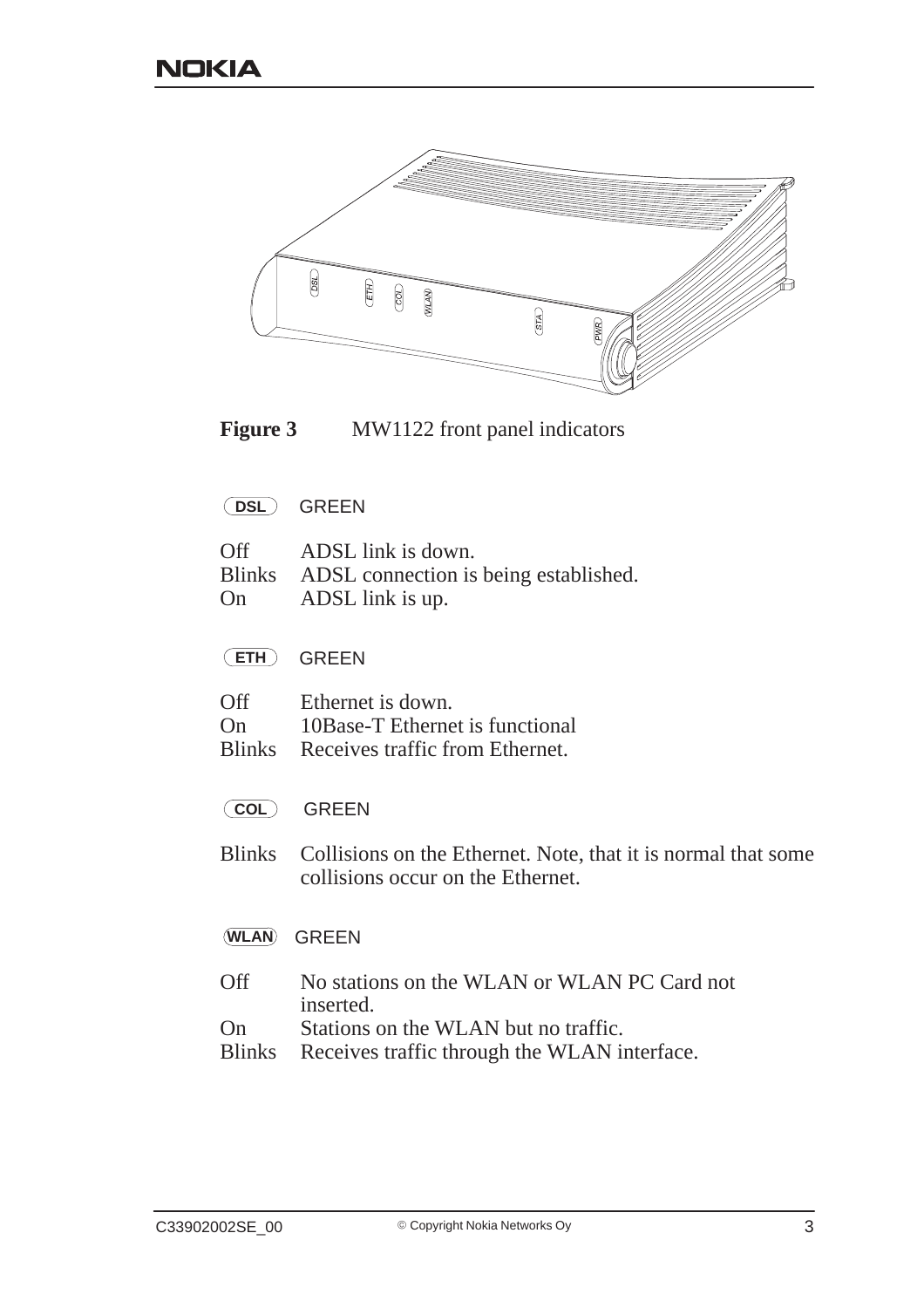

**Figure 3** MW1122 front panel indicators

**DSL** GREEN

|           | Off ADSL link is down.                       |
|-----------|----------------------------------------------|
|           | Blinks ADSL connection is being established. |
| <b>On</b> | ADSL link is up.                             |

**ETH** GREEN

| Off           | Ethernet is down.               |
|---------------|---------------------------------|
| On            | 10Base-T Ethernet is functional |
| <b>Blinks</b> | Receives traffic from Ethernet. |

- **COL** GREEN
- Blinks Collisions on the Ethernet. Note, that it is normal that some collisions occur on the Ethernet.

#### **WLAN** GREEN

- Off No stations on the WLAN or WLAN PC Card not inserted.
- On Stations on the WLAN but no traffic.<br>Blinks Receives traffic through the WLAN is
- Receives traffic through the WLAN interface.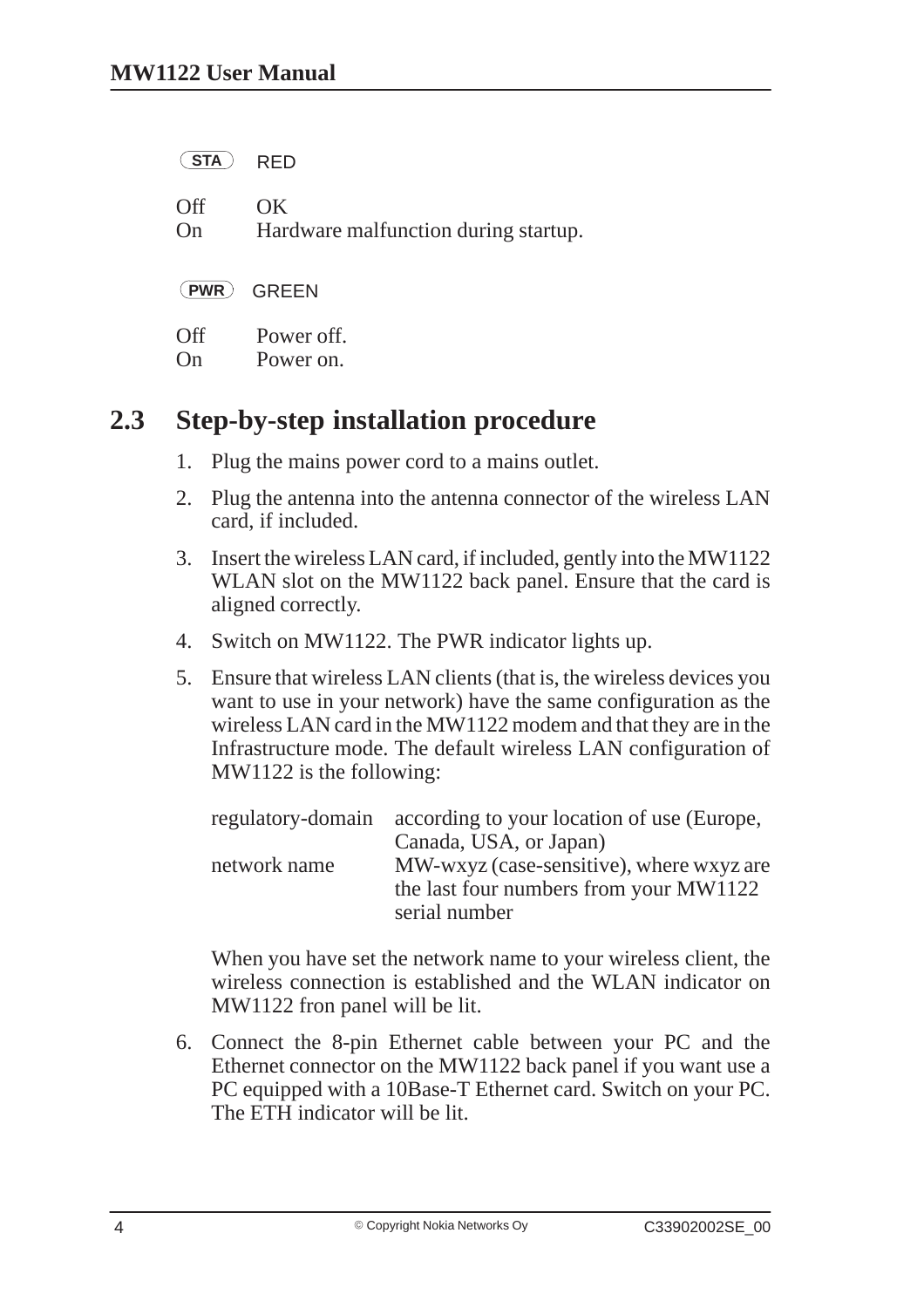| <b>STA</b>       | <b>RFD</b>                                  |
|------------------|---------------------------------------------|
| <b>Off</b><br>On | OK.<br>Hardware malfunction during startup. |
| $($ PWR $)$      | <b>GREEN</b>                                |
| Off              | Power off.<br>Power on.                     |

## **2.3 Step-by-step installation procedure**

- 1. Plug the mains power cord to a mains outlet.
- 2. Plug the antenna into the antenna connector of the wireless LAN card, if included.
- 3. Insert the wireless LAN card, if included, gently into the MW1122 WLAN slot on the MW1122 back panel. Ensure that the card is aligned correctly.
- 4. Switch on MW1122. The PWR indicator lights up.
- 5. Ensure that wireless LAN clients (that is, the wireless devices you want to use in your network) have the same configuration as the wireless LAN card in the MW1122 modem and that they are in the Infrastructure mode. The default wireless LAN configuration of MW1122 is the following:

|              | regulatory-domain according to your location of use (Europe, |
|--------------|--------------------------------------------------------------|
|              | Canada, USA, or Japan)                                       |
| network name | MW-wxyz (case-sensitive), where wxyz are                     |
|              | the last four numbers from your MW1122                       |
|              | serial number                                                |

When you have set the network name to your wireless client, the wireless connection is established and the WLAN indicator on MW1122 fron panel will be lit.

6. Connect the 8-pin Ethernet cable between your PC and the Ethernet connector on the MW1122 back panel if you want use a PC equipped with a 10Base-T Ethernet card. Switch on your PC. The ETH indicator will be lit.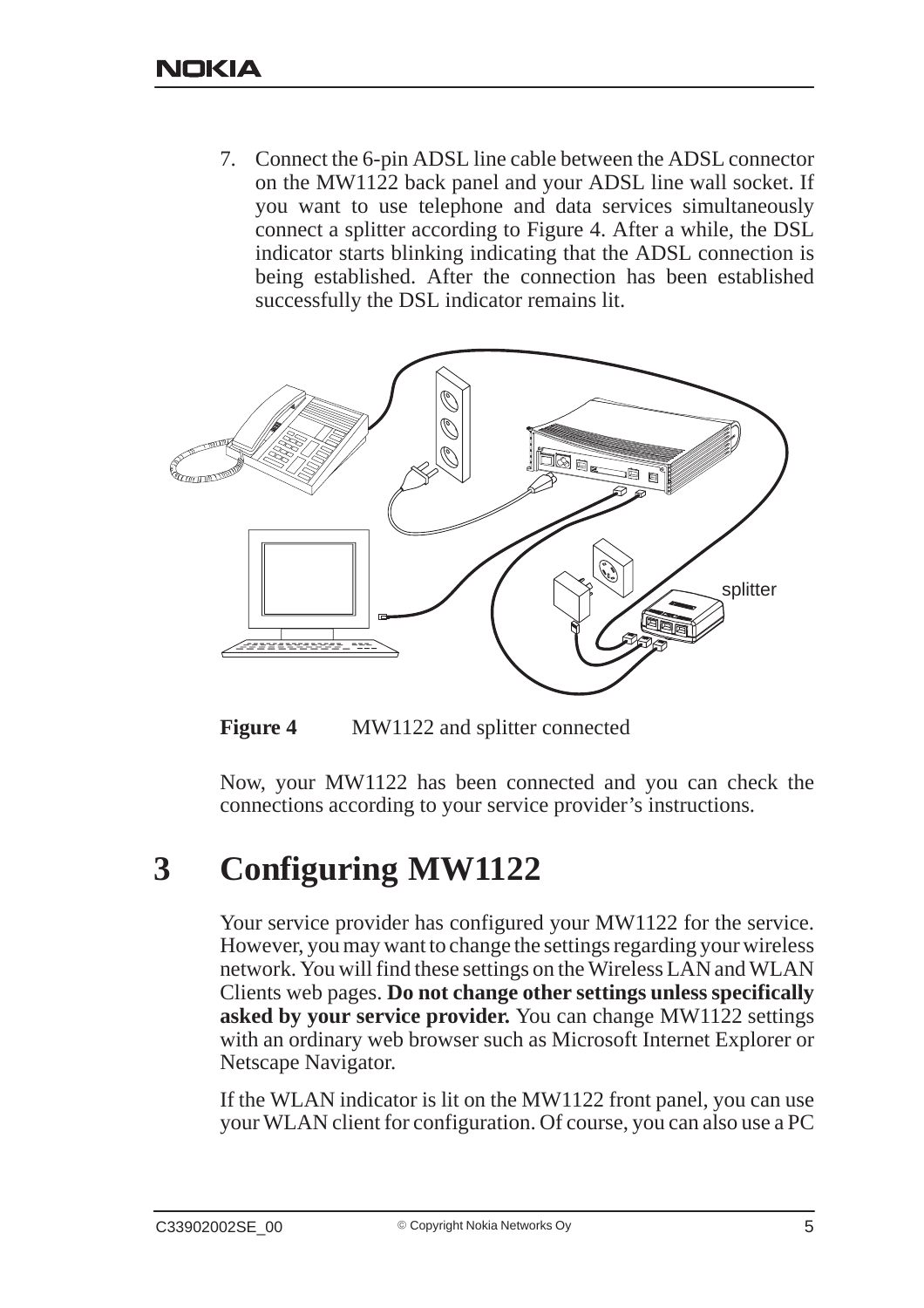7. Connect the 6-pin ADSL line cable between the ADSL connector on the MW1122 back panel and your ADSL line wall socket. If you want to use telephone and data services simultaneously connect a splitter according to Figure 4. After a while, the DSL indicator starts blinking indicating that the ADSL connection is being established. After the connection has been established successfully the DSL indicator remains lit.



**Figure 4** MW1122 and splitter connected

Now, your MW1122 has been connected and you can check the connections according to your service provider's instructions.

## **3 Configuring MW1122**

Your service provider has configured your MW1122 for the service. However, you may want to change the settings regarding your wireless network. You will find these settings on the Wireless LAN and WLAN Clients web pages. **Do not change other settings unless specifically asked by your service provider.** You can change MW1122 settings with an ordinary web browser such as Microsoft Internet Explorer or Netscape Navigator.

If the WLAN indicator is lit on the MW1122 front panel, you can use your WLAN client for configuration. Of course, you can also use a PC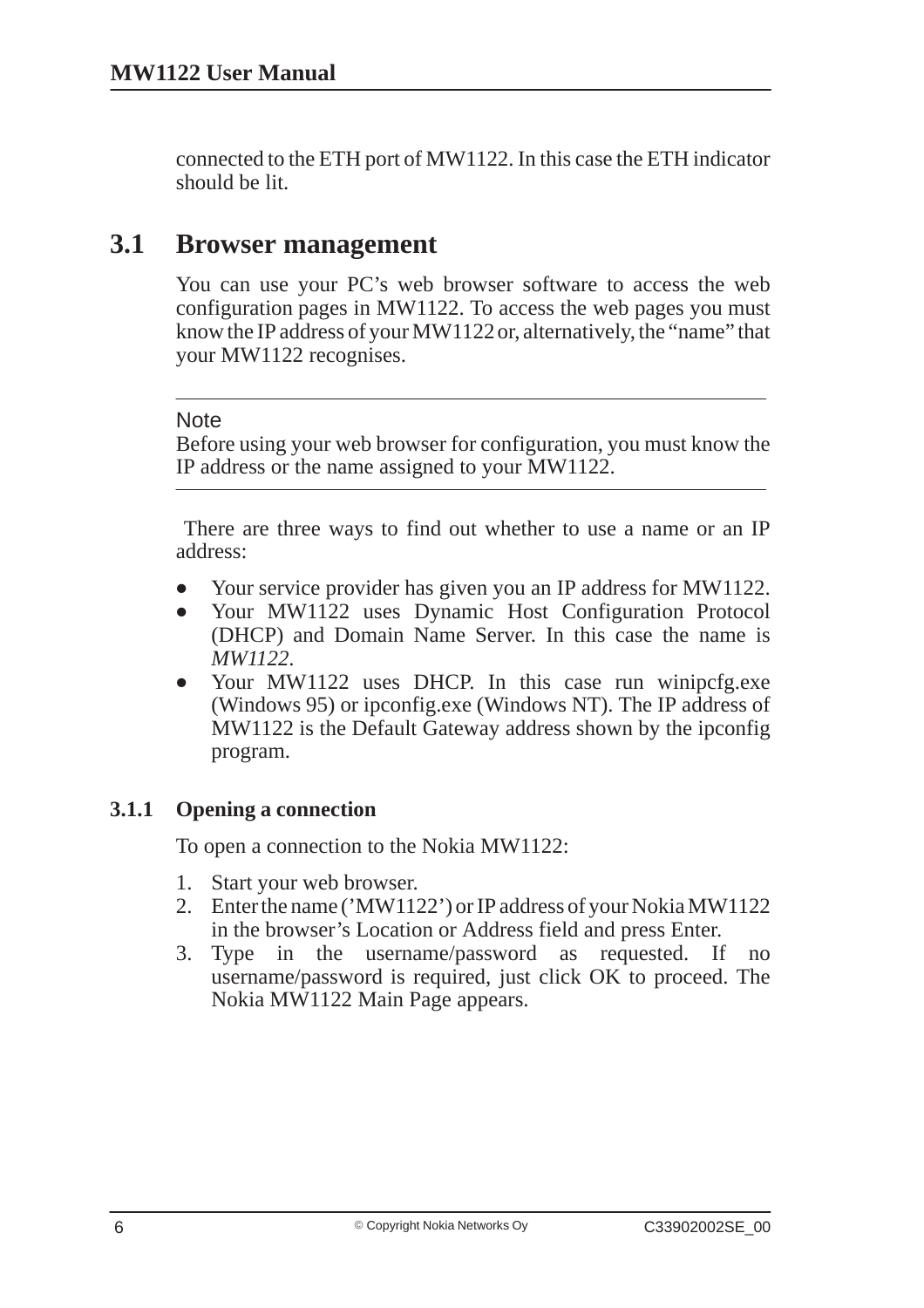connected to the ETH port of MW1122. In this case the ETH indicator should be lit.

### **3.1 Browser management**

You can use your PC's web browser software to access the web configuration pages in MW1122. To access the web pages you must know the IP address of your MW1122 or, alternatively, the "name" that your MW1122 recognises.

#### **Note**

Before using your web browser for configuration, you must know the IP address or the name assigned to your MW1122.

 There are three ways to find out whether to use a name or an IP address:

- $\bullet$ Your service provider has given you an IP address for MW1122.
- $\bullet$  Your MW1122 uses Dynamic Host Configuration Protocol (DHCP) and Domain Name Server. In this case the name is *MW1122*.
- $\bullet$ Your MW1122 uses DHCP. In this case run winipcfg.exe (Windows 95) or ipconfig.exe (Windows NT). The IP address of MW1122 is the Default Gateway address shown by the ipconfig program.

#### **3.1.1 Opening a connection**

To open a connection to the Nokia MW1122:

- 1. Start your web browser.
- 2. Enter the name ('MW1122') or IP address of your Nokia MW1122 in the browser's Location or Address field and press Enter.
- 3. Type in the username/password as requested. If no username/password is required, just click OK to proceed. The Nokia MW1122 Main Page appears.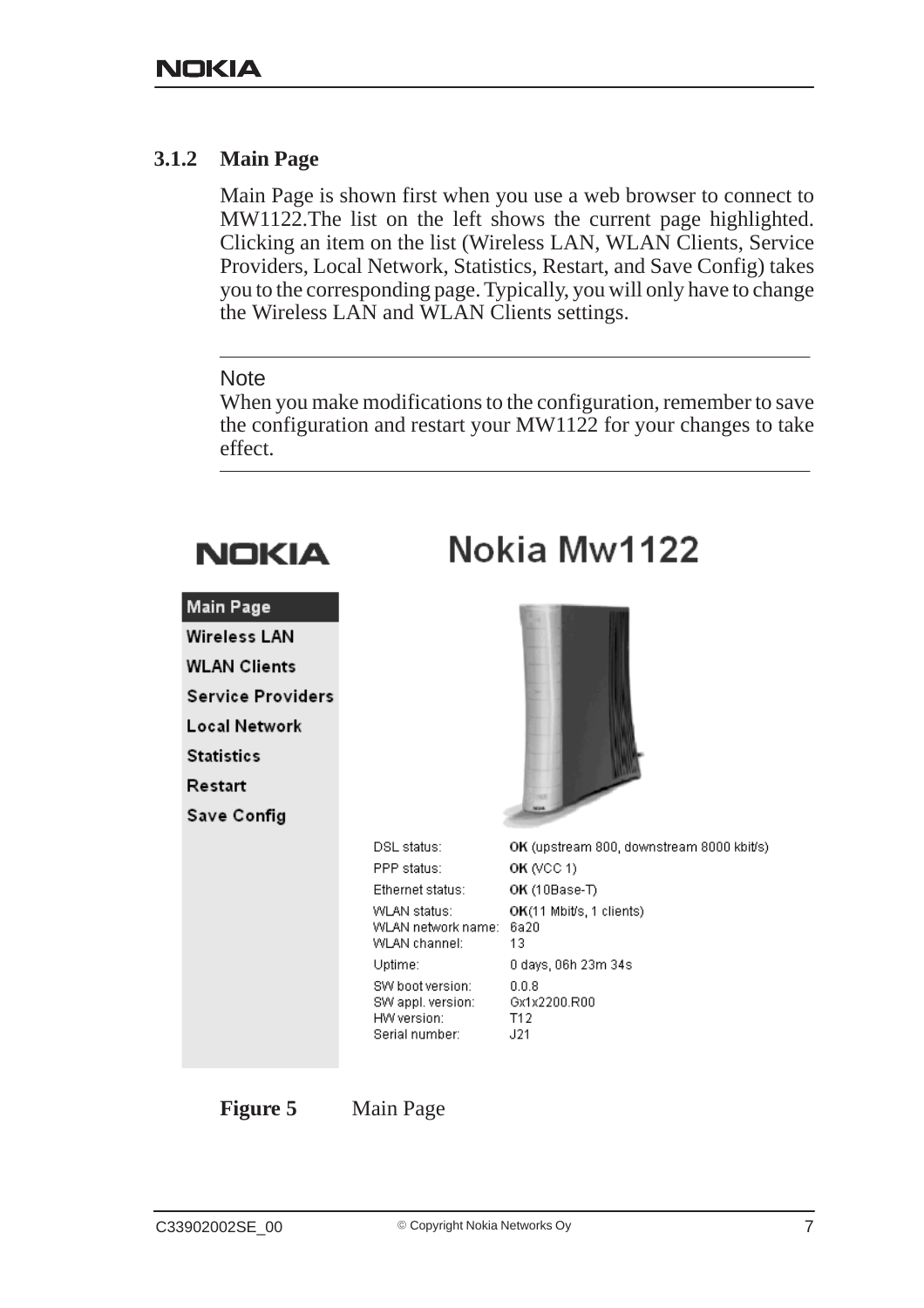#### **3.1.2 Main Page**

Main Page is shown first when you use a web browser to connect to MW1122.The list on the left shows the current page highlighted. Clicking an item on the list (Wireless LAN, WLAN Clients, Service Providers, Local Network, Statistics, Restart, and Save Config) takes you to the corresponding page. Typically, you will only have to change the Wireless LAN and WLAN Clients settings.

**Note** 

When you make modifications to the configuration, remember to save the configuration and restart your MW1122 for your changes to take effect.

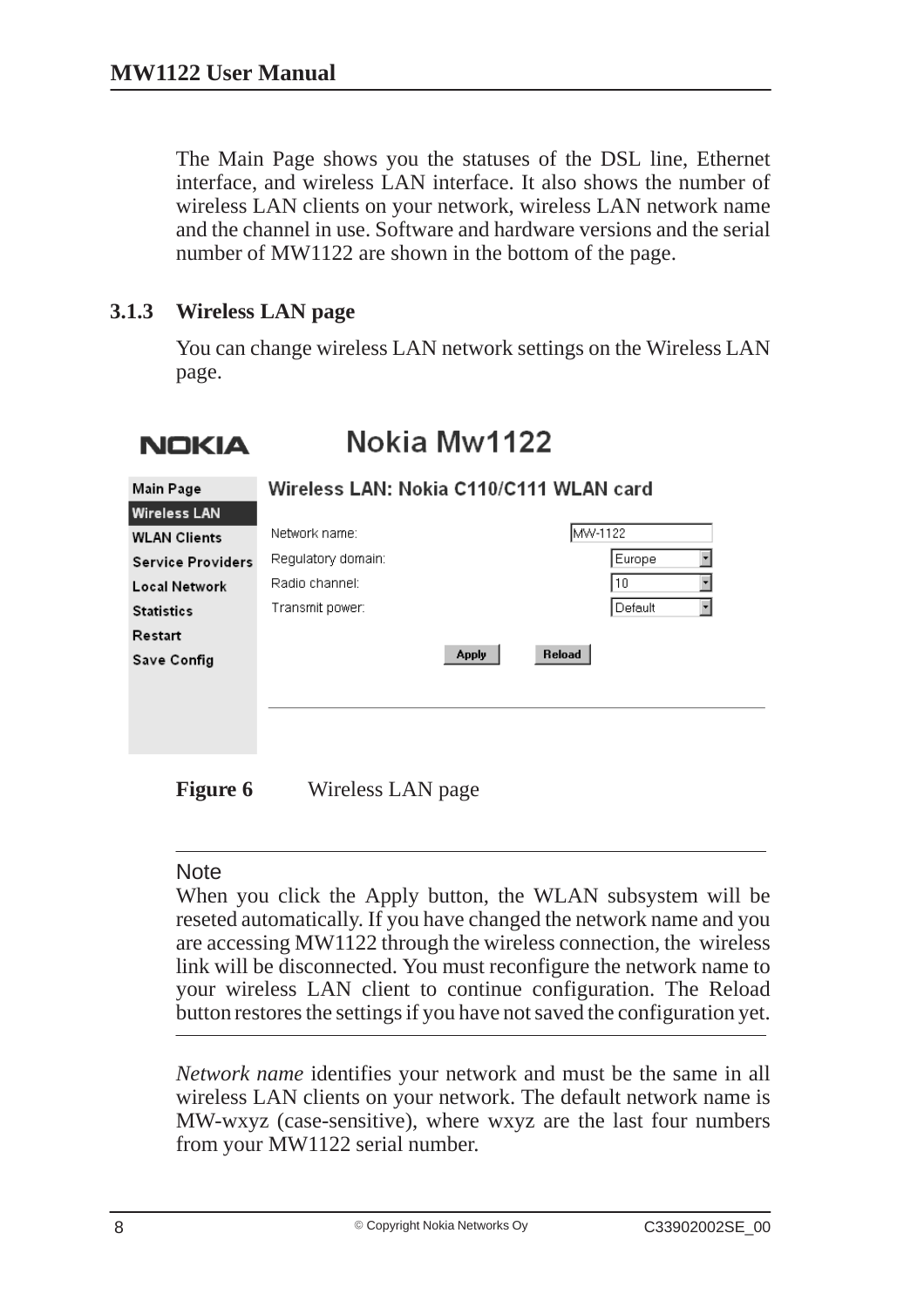The Main Page shows you the statuses of the DSL line, Ethernet interface, and wireless LAN interface. It also shows the number of wireless LAN clients on your network, wireless LAN network name and the channel in use. Software and hardware versions and the serial number of MW1122 are shown in the bottom of the page.

#### **3.1.3 Wireless LAN page**

You can change wireless LAN network settings on the Wireless LAN page.

## **NOKIA**

## Nokia Mw1122

| Main Page                | Wireless LAN: Nokia C110/C111 WLAN card |                        |         |  |
|--------------------------|-----------------------------------------|------------------------|---------|--|
| <b>Wireless LAN</b>      |                                         |                        |         |  |
| <b>WLAN Clients</b>      | Network name:                           |                        | MW-1122 |  |
| <b>Service Providers</b> | Regulatory domain:                      |                        | Europe  |  |
| Local Network            | Radio channel:                          |                        | l 10    |  |
| <b>Statistics</b>        | Transmit power:                         |                        | Default |  |
| Restart                  |                                         |                        |         |  |
| Save Config              |                                         | Reload<br><b>Apply</b> |         |  |
|                          |                                         |                        |         |  |
|                          |                                         |                        |         |  |
|                          |                                         |                        |         |  |

**Figure 6** Wireless LAN page

#### **Note**

When you click the Apply button, the WLAN subsystem will be reseted automatically. If you have changed the network name and you are accessing MW1122 through the wireless connection, the wireless link will be disconnected. You must reconfigure the network name to your wireless LAN client to continue configuration. The Reload button restores the settings if you have not saved the configuration yet.

*Network name* identifies your network and must be the same in all wireless LAN clients on your network. The default network name is MW-wxyz (case-sensitive), where wxyz are the last four numbers from your MW1122 serial number.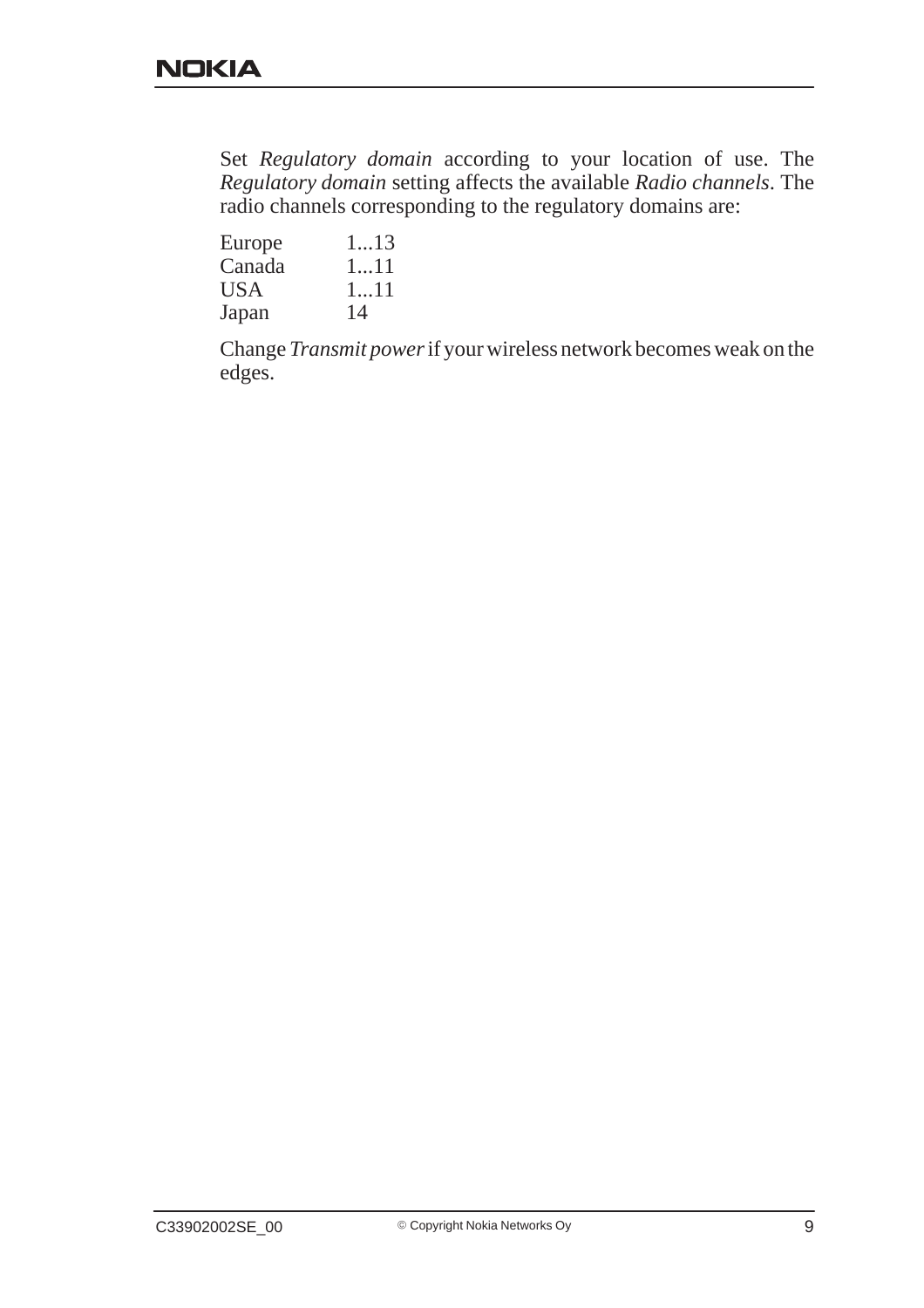Set *Regulatory domain* according to your location of use. The *Regulatory domain* setting affects the available *Radio channels*. The radio channels corresponding to the regulatory domains are:

| Europe     | 113 |
|------------|-----|
| Canada     | 111 |
| <b>USA</b> | 111 |
| Japan      | 14  |

Change *Transmit power* if your wireless network becomes weak on the edges.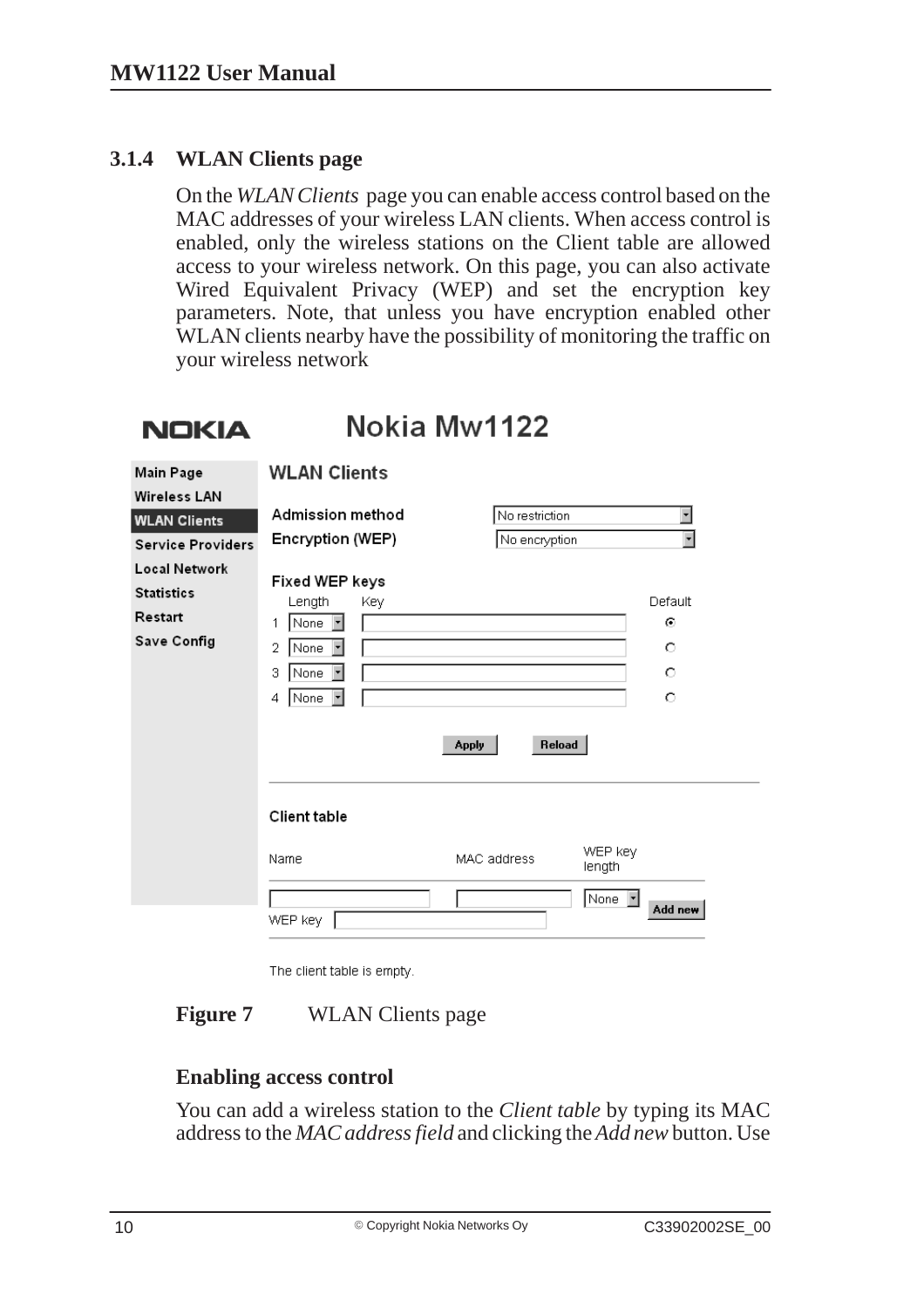#### **3.1.4 WLAN Clients page**

On the *WLAN Clients* page you can enable access control based on the MAC addresses of your wireless LAN clients. When access control is enabled, only the wireless stations on the Client table are allowed access to your wireless network. On this page, you can also activate Wired Equivalent Privacy (WEP) and set the encryption key parameters. Note, that unless you have encryption enabled other WLAN clients nearby have the possibility of monitoring the traffic on your wireless network

#### Nokia Mw1122 **NOKIA**

| Main Page<br><b>Wireless LAN</b>                                    | <b>WLAN Clients</b>                                                                                                                                    |                                  |                                                      |
|---------------------------------------------------------------------|--------------------------------------------------------------------------------------------------------------------------------------------------------|----------------------------------|------------------------------------------------------|
| <b>WLAN Clients</b><br><b>Service Providers</b>                     | Admission method<br>Encryption (WEP)                                                                                                                   | No restriction<br>No encryption  | $\overline{\phantom{0}}$<br>$\overline{\phantom{a}}$ |
| <b>Local Network</b><br><b>Statistics</b><br>Restart<br>Save Config | Fixed WEP keys<br>Length<br>Key.<br>None<br>$\blacktriangledown$<br>1<br>$\overline{2}$<br>None<br>3<br>None<br>۳<br>None<br>4<br>$\blacktriangledown$ | Reload<br><b>Apply</b>           | Default<br>⊙<br>O<br>O<br>O                          |
|                                                                     | Client table<br>Name                                                                                                                                   | WEP key<br>MAC address<br>length |                                                      |
|                                                                     | WEP key                                                                                                                                                | None<br>$\overline{\phantom{a}}$ | Add new                                              |

The client table is empty.

#### **Figure 7** WLAN Clients page

#### **Enabling access control**

You can add a wireless station to the *Client table* by typing its MAC address to the *MAC address field* and clicking the *Add new* button. Use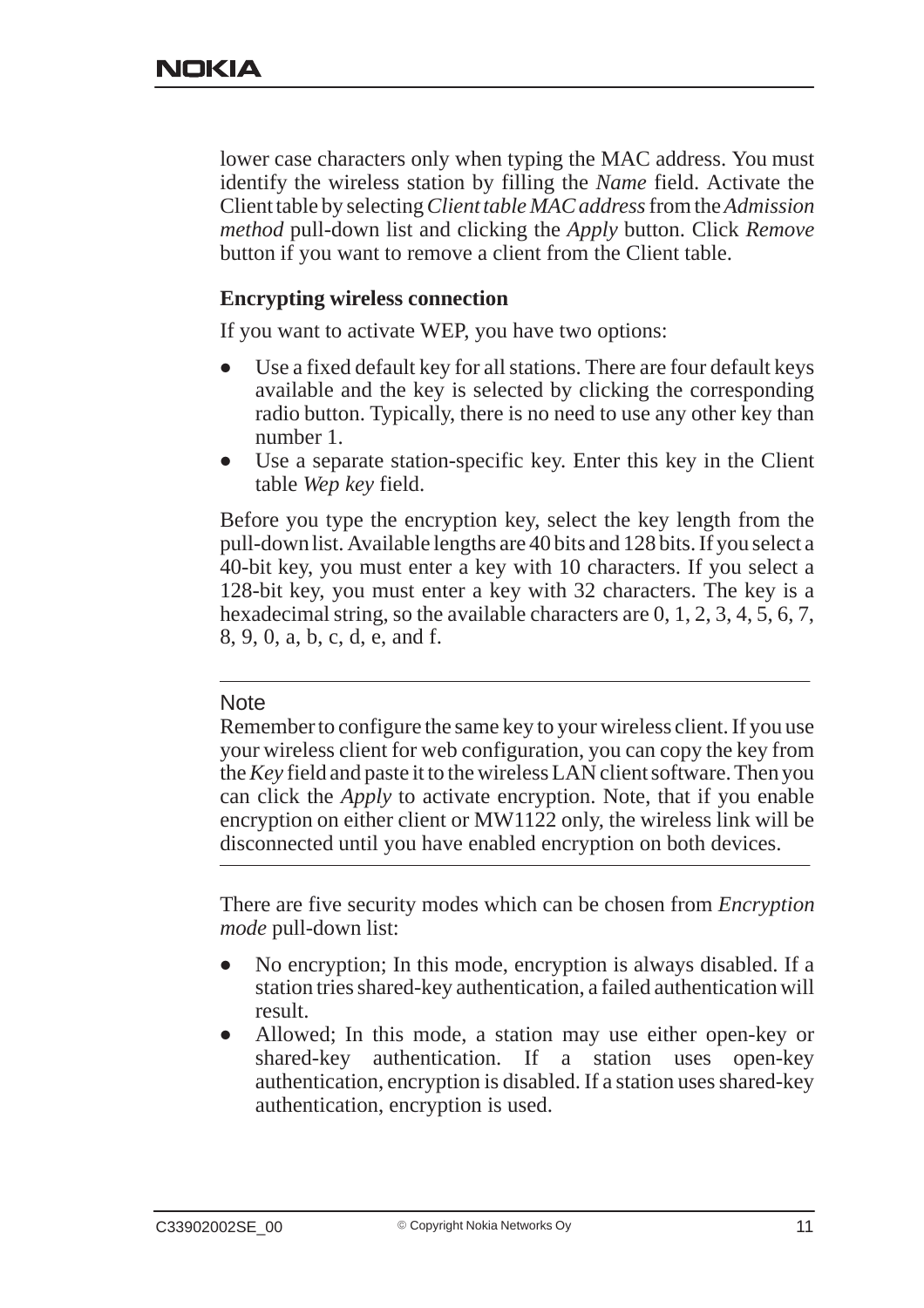lower case characters only when typing the MAC address. You must identify the wireless station by filling the *Name* field. Activate the Client table by selecting *Client table MAC address* from the *Admission method* pull-down list and clicking the *Apply* button. Click *Remove* button if you want to remove a client from the Client table.

#### **Encrypting wireless connection**

If you want to activate WEP, you have two options:

- $\bullet$  Use a fixed default key for all stations. There are four default keys available and the key is selected by clicking the corresponding radio button. Typically, there is no need to use any other key than number 1.
- $\bullet$  Use a separate station-specific key. Enter this key in the Client table *Wep key* field.

Before you type the encryption key, select the key length from the pull-down list. Available lengths are 40 bits and 128 bits. If you select a 40-bit key, you must enter a key with 10 characters. If you select a 128-bit key, you must enter a key with 32 characters. The key is a hexadecimal string, so the available characters are 0, 1, 2, 3, 4, 5, 6, 7, 8, 9, 0, a, b, c, d, e, and f.

#### **Note**

Remember to configure the same key to your wireless client. If you use your wireless client for web configuration, you can copy the key from the *Key* field and paste it to the wireless LAN client software. Then you can click the *Apply* to activate encryption. Note, that if you enable encryption on either client or MW1122 only, the wireless link will be disconnected until you have enabled encryption on both devices.

There are five security modes which can be chosen from *Encryption mode* pull-down list:

- $\bullet$  No encryption; In this mode, encryption is always disabled. If a station tries shared-key authentication, a failed authentication will result.
- $\bullet$  Allowed; In this mode, a station may use either open-key or shared-key authentication. If a station uses open-key authentication, encryption is disabled. If a station uses shared-key authentication, encryption is used.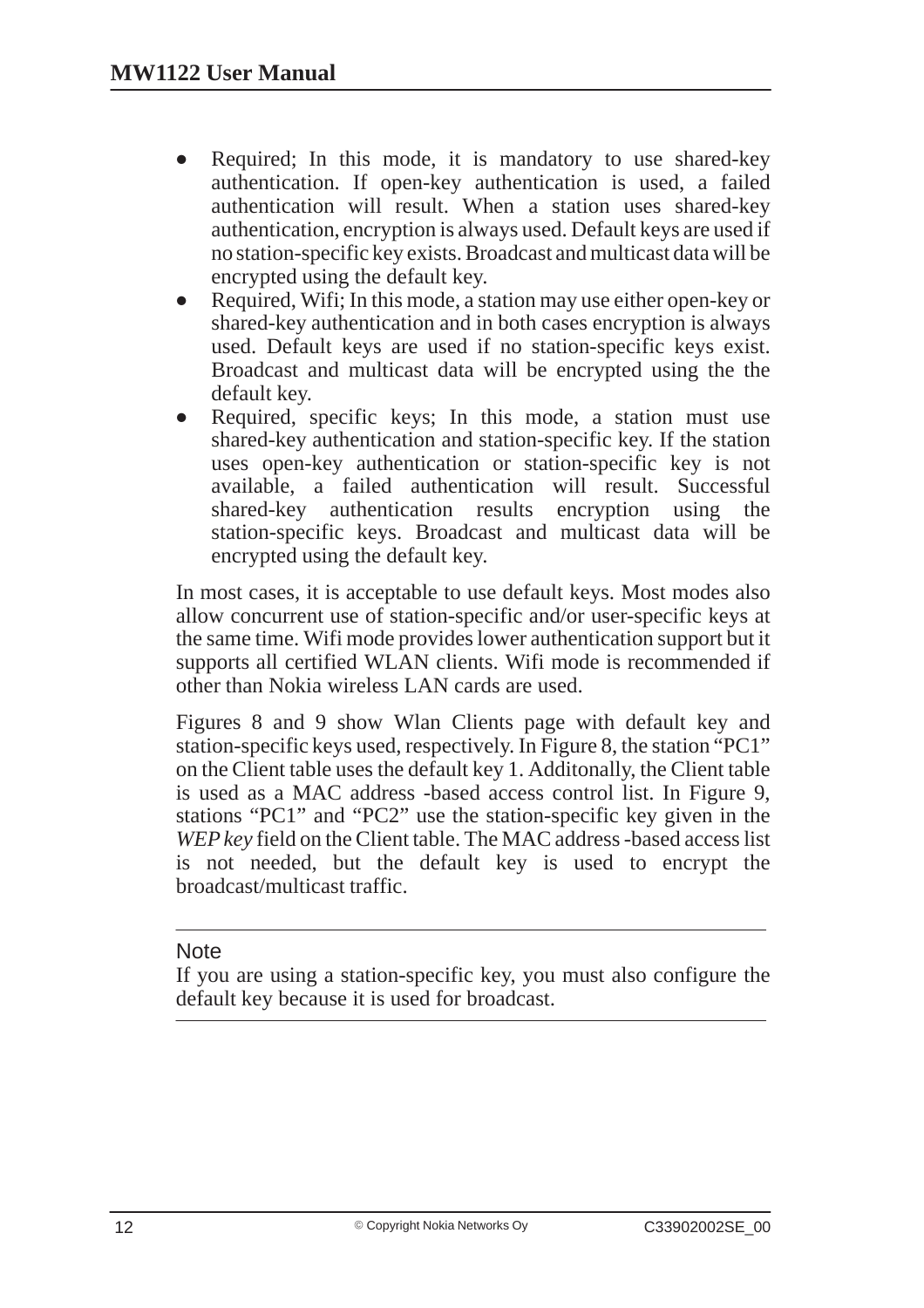- $\bullet$  Required; In this mode, it is mandatory to use shared-key authentication. If open-key authentication is used, a failed authentication will result. When a station uses shared-key authentication, encryption is always used. Default keys are used if no station-specific key exists. Broadcast and multicast data will be encrypted using the default key.
- $\bullet$  Required, Wifi; In this mode, a station may use either open-key or shared-key authentication and in both cases encryption is always used. Default keys are used if no station-specific keys exist. Broadcast and multicast data will be encrypted using the the default key.
- $\bullet$  Required, specific keys; In this mode, a station must use shared-key authentication and station-specific key. If the station uses open-key authentication or station-specific key is not available, a failed authentication will result. Successful shared-key authentication results encryption using the station-specific keys. Broadcast and multicast data will be encrypted using the default key.

In most cases, it is acceptable to use default keys. Most modes also allow concurrent use of station-specific and/or user-specific keys at the same time. Wifi mode provides lower authentication support but it supports all certified WLAN clients. Wifi mode is recommended if other than Nokia wireless LAN cards are used.

Figures 8 and 9 show Wlan Clients page with default key and station-specific keys used, respectively. In Figure 8, the station "PC1" on the Client table uses the default key 1. Additonally, the Client table is used as a MAC address -based access control list. In Figure 9, stations "PC1" and "PC2" use the station-specific key given in the *WEP key* field on the Client table. The MAC address -based access list is not needed, but the default key is used to encrypt the broadcast/multicast traffic.

#### **Note**

If you are using a station-specific key, you must also configure the default key because it is used for broadcast.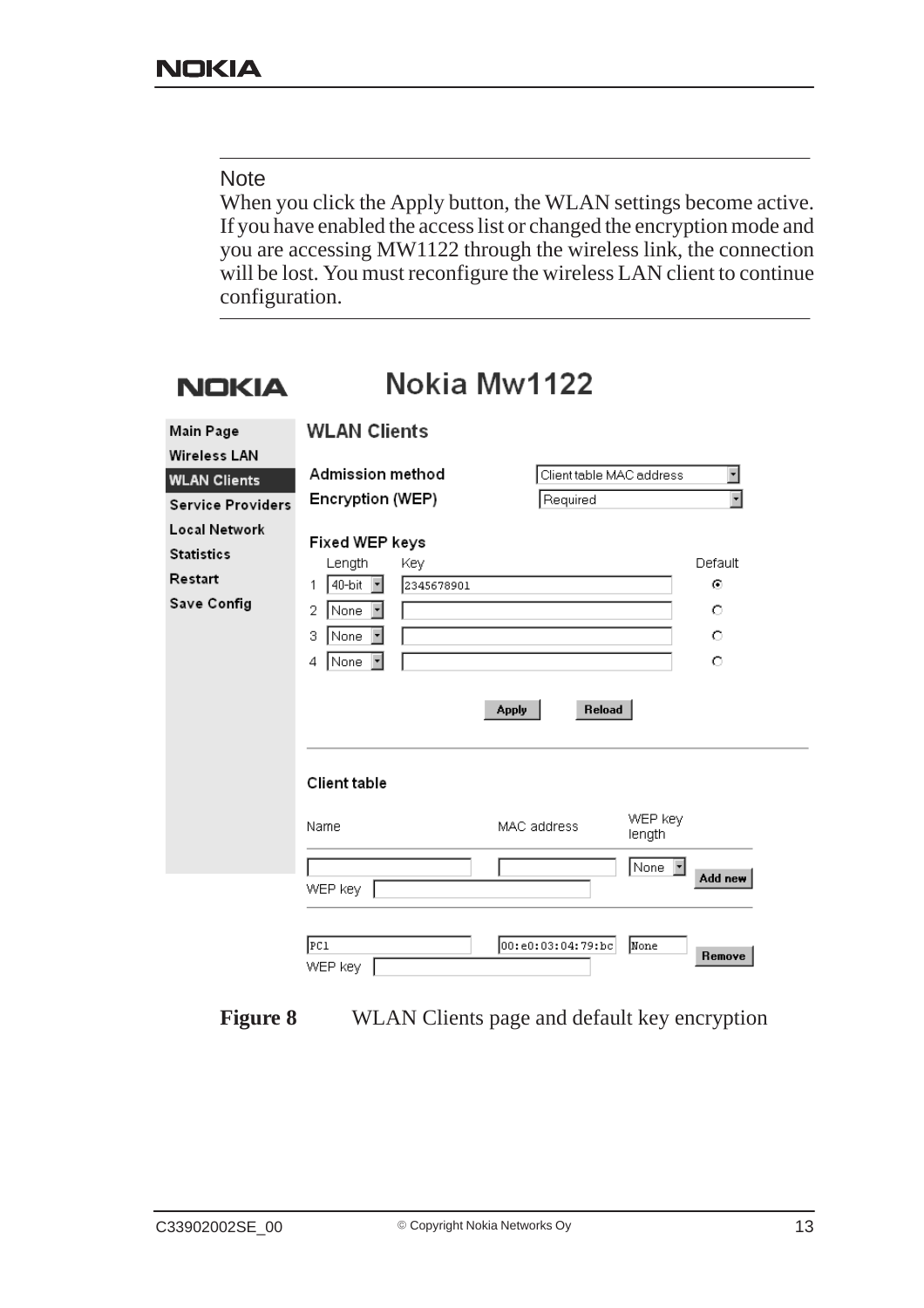#### **Note**

When you click the Apply button, the WLAN settings become active. If you have enabled the access list or changed the encryption mode and you are accessing MW1122 through the wireless link, the connection will be lost. You must reconfigure the wireless LAN client to continue configuration.

#### Nokia Mw1122 **NOKIA**

| Main Page                                                           | <b>WLAN Clients</b>                                                                                                                        |                          |                             |                                         |
|---------------------------------------------------------------------|--------------------------------------------------------------------------------------------------------------------------------------------|--------------------------|-----------------------------|-----------------------------------------|
| <b>Wireless LAN</b>                                                 | Admission method                                                                                                                           | Client table MAC address |                             | $\blacksquare$                          |
| <b>WLAN Clients</b><br><b>Service Providers</b>                     | Encryption (WEP)                                                                                                                           | Required                 |                             | $\overline{\phantom{0}}$                |
| <b>Local Network</b><br><b>Statistics</b><br>Restart<br>Save Config | Fixed WEP keys<br>Length<br>Key<br>$\vert \cdot \vert$<br>40-bit<br>2345678901<br>1<br>2<br>None<br>$\vert$<br>3<br>None<br>▼<br>None<br>4 | Reload<br><b>Apply</b>   |                             | Default<br>$\odot$<br>O<br>O<br>$\circ$ |
|                                                                     | Client table<br>Name                                                                                                                       | MAC address              | WEP key<br>length<br>None F |                                         |
|                                                                     | WEP key<br>PC1<br>WEP key                                                                                                                  | 00:e0:03:04:79:bc        | None                        | Add new<br>Remove                       |

**Figure 8** WLAN Clients page and default key encryption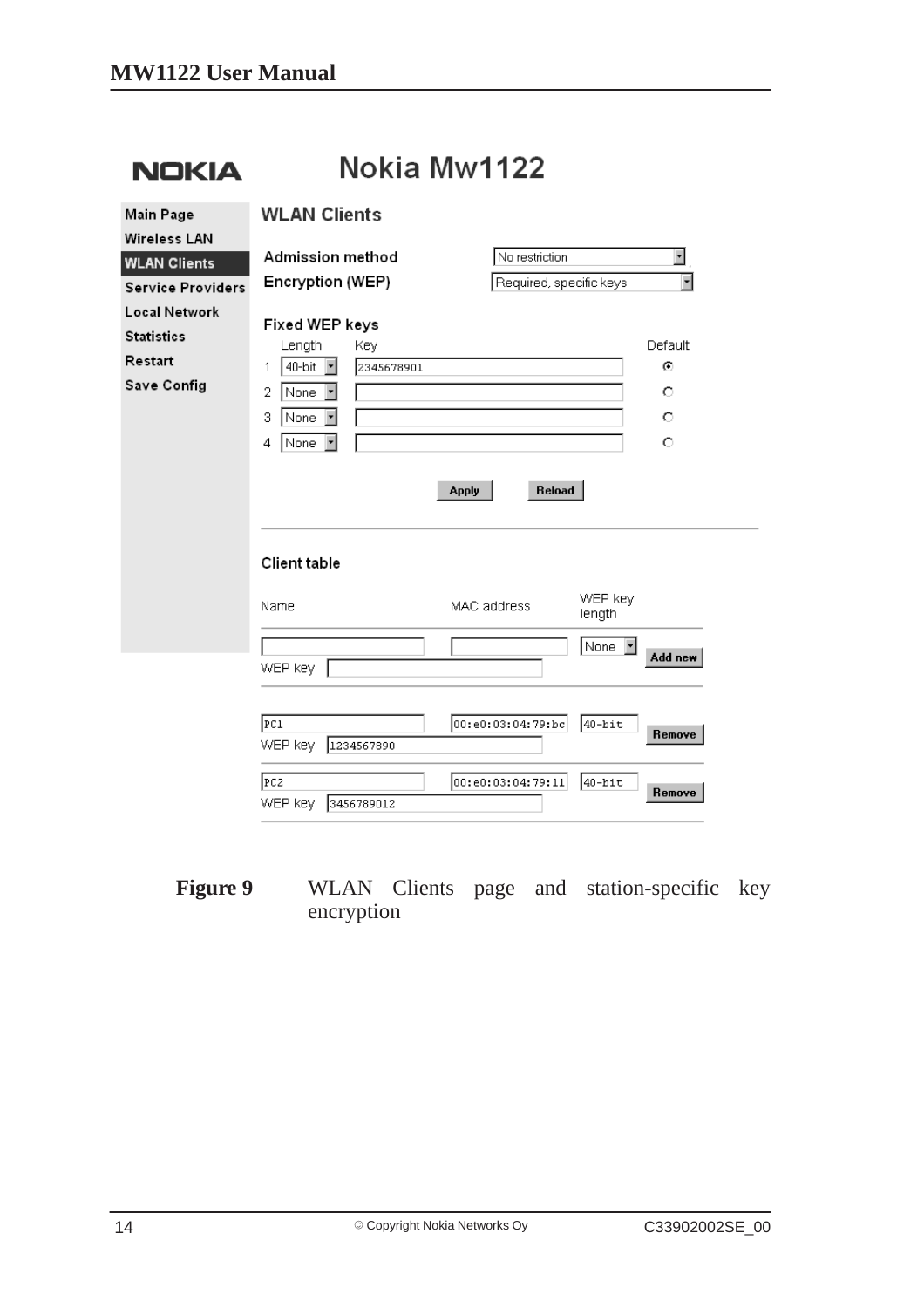| <b>NOKIA</b>                                                 | Nokia Mw1122                                                                                                  |                         |                                             |  |  |
|--------------------------------------------------------------|---------------------------------------------------------------------------------------------------------------|-------------------------|---------------------------------------------|--|--|
| Main Page<br><b>Wireless LAN</b>                             | <b>WLAN Clients</b>                                                                                           |                         |                                             |  |  |
| <b>WLAN Clients</b>                                          | Admission method                                                                                              | No restriction          | $\overline{\phantom{a}}$                    |  |  |
| <b>Service Providers</b>                                     | Encryption (WEP)                                                                                              | Required, specific keys | $\overline{\phantom{a}}$                    |  |  |
| Local Network<br><b>Statistics</b><br>Restart<br>Save Config | Fixed WEP keys<br>Length<br>Key<br>40-bit<br>2345678901<br>회<br>1<br>2<br>None<br>▾<br>з<br>None<br>None<br>4 | Reload<br>Apply         | Default<br>⊙<br>O<br>$\circ$<br>$\circ$     |  |  |
|                                                              | Client table                                                                                                  |                         |                                             |  |  |
|                                                              | Name                                                                                                          | MAC address             | WEP key<br>length                           |  |  |
|                                                              | WEP key                                                                                                       |                         | None<br>$\vert \mathbf{v} \vert$<br>Add new |  |  |
|                                                              | PC1<br>WEP key<br>1234567890                                                                                  | 00:e0:03:04:79:bc       | 40-bit<br>Remove                            |  |  |
|                                                              | FC2<br>WEP key<br>3456789012                                                                                  | 00:e0:03:04:79:11       | $40 - bit$<br>Remove                        |  |  |

**Figure 9** WLAN Clients page and station-specific key encryption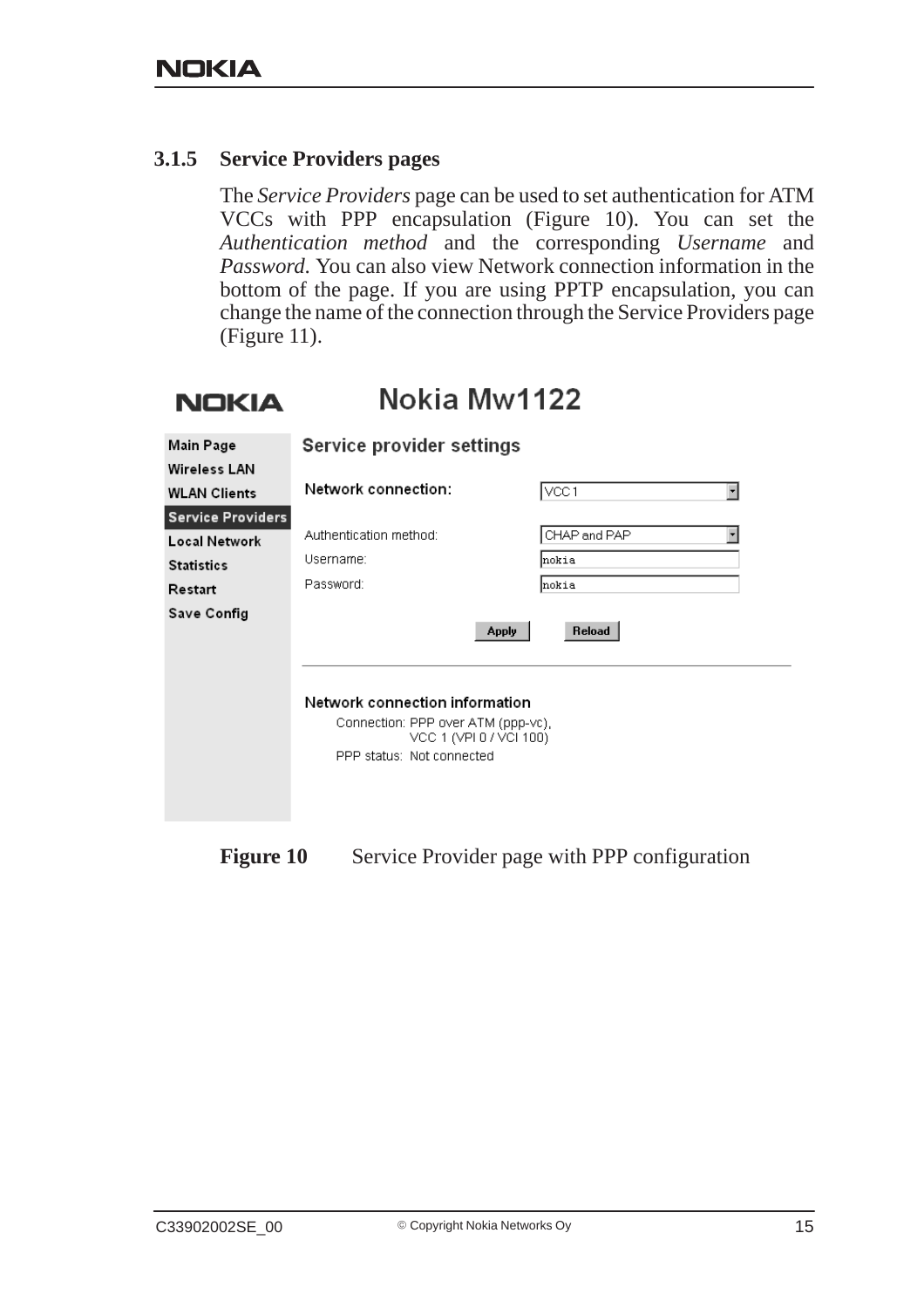**LONEXIA** 

#### **3.1.5 Service Providers pages**

The *Service Providers* page can be used to set authentication for ATM VCCs with PPP encapsulation (Figure 10). You can set the *Authentication method* and the corresponding *Username* and *Password*. You can also view Network connection information in the bottom of the page. If you are using PPTP encapsulation, you can change the name of the connection through the Service Providers page (Figure 11).

| NUKIA                    | INUNIA IVIVV I IZZ                                            |                                  |
|--------------------------|---------------------------------------------------------------|----------------------------------|
| Main Page                | <b>Service provider settings</b>                              |                                  |
| <b>Wireless LAN</b>      |                                                               |                                  |
| <b>WLAN Clients</b>      | Network connection:                                           | VCC1<br>$\overline{\phantom{a}}$ |
| <b>Service Providers</b> |                                                               |                                  |
| Local Network            | Authentication method:                                        | CHAP and PAP<br>٠                |
| <b>Statistics</b>        | Username:                                                     | Inokia                           |
| Restart                  | Password:                                                     | Inokia                           |
| Save Config              |                                                               |                                  |
|                          |                                                               | Reload<br><b>Apply</b>           |
|                          |                                                               |                                  |
|                          |                                                               |                                  |
|                          | Network connection information                                |                                  |
|                          | Connection: PPP over ATM (ppp-vc),<br>VCC 1 (VPI 0 / VCI 100) |                                  |
|                          | PPP status: Not connected                                     |                                  |
|                          |                                                               |                                  |
|                          |                                                               |                                  |
|                          |                                                               |                                  |

Nokio Mw4422

**Figure 10** Service Provider page with PPP configuration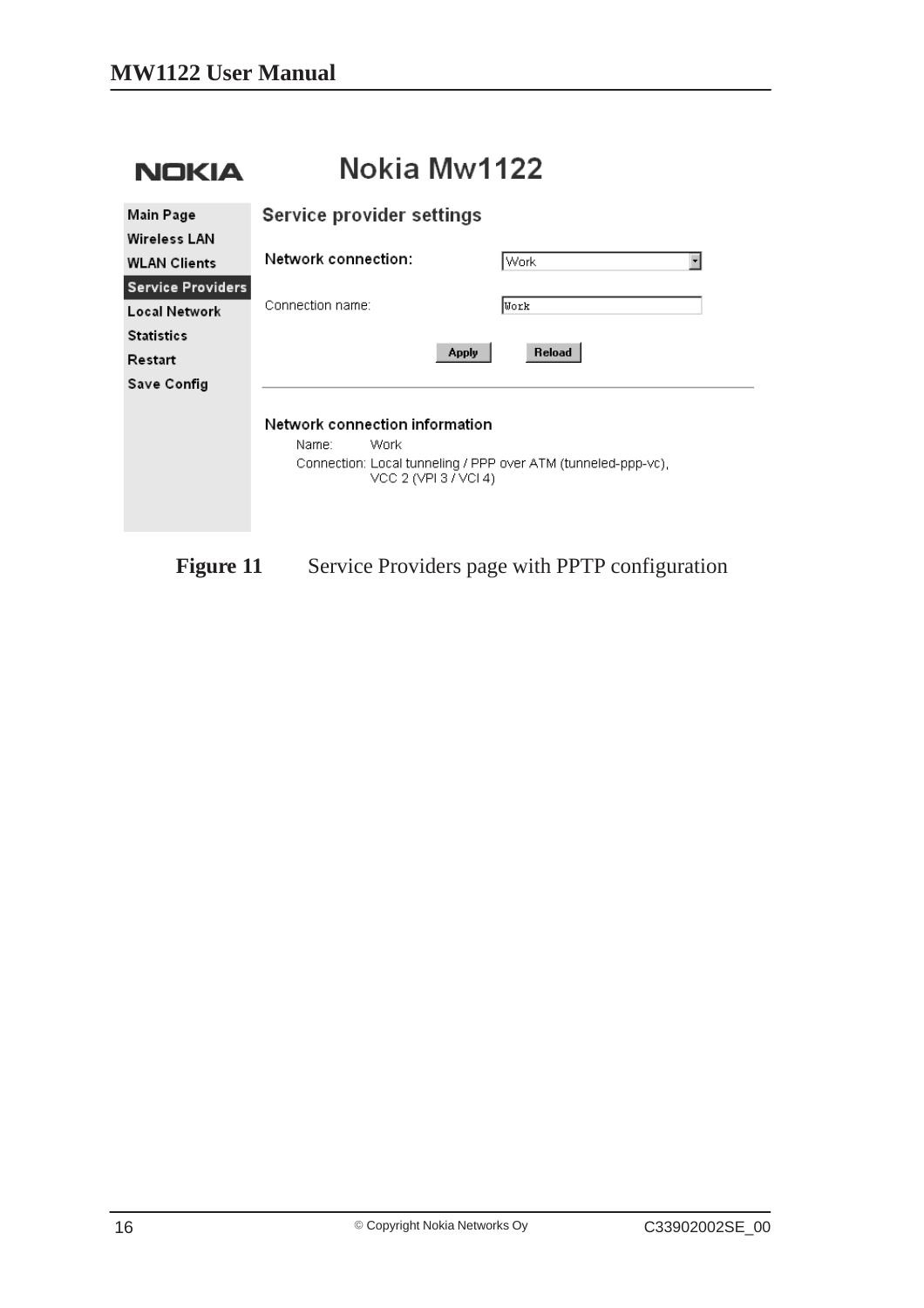| <b>NOKIA</b>                              | Nokia Mw1122                                                                                                                              |  |  |  |  |
|-------------------------------------------|-------------------------------------------------------------------------------------------------------------------------------------------|--|--|--|--|
| Main Page<br><b>Wireless LAN</b>          | Service provider settings                                                                                                                 |  |  |  |  |
| <b>WLAN Clients</b>                       | Network connection:<br>$\overline{\phantom{a}}$<br>Work                                                                                   |  |  |  |  |
| <b>Service Providers</b><br>Local Network | Connection name:<br>Work                                                                                                                  |  |  |  |  |
| <b>Statistics</b>                         | Reload<br><b>Apply</b>                                                                                                                    |  |  |  |  |
| Restart<br>Save Config                    |                                                                                                                                           |  |  |  |  |
|                                           | Network connection information<br>Name:<br>Work<br>Connection: Local tunneling / PPP over ATM (tunneled-ppp-vc).<br>VCC 2 (VPI 3 / VCI 4) |  |  |  |  |

## Figure 11 Service Providers page with PPTP configuration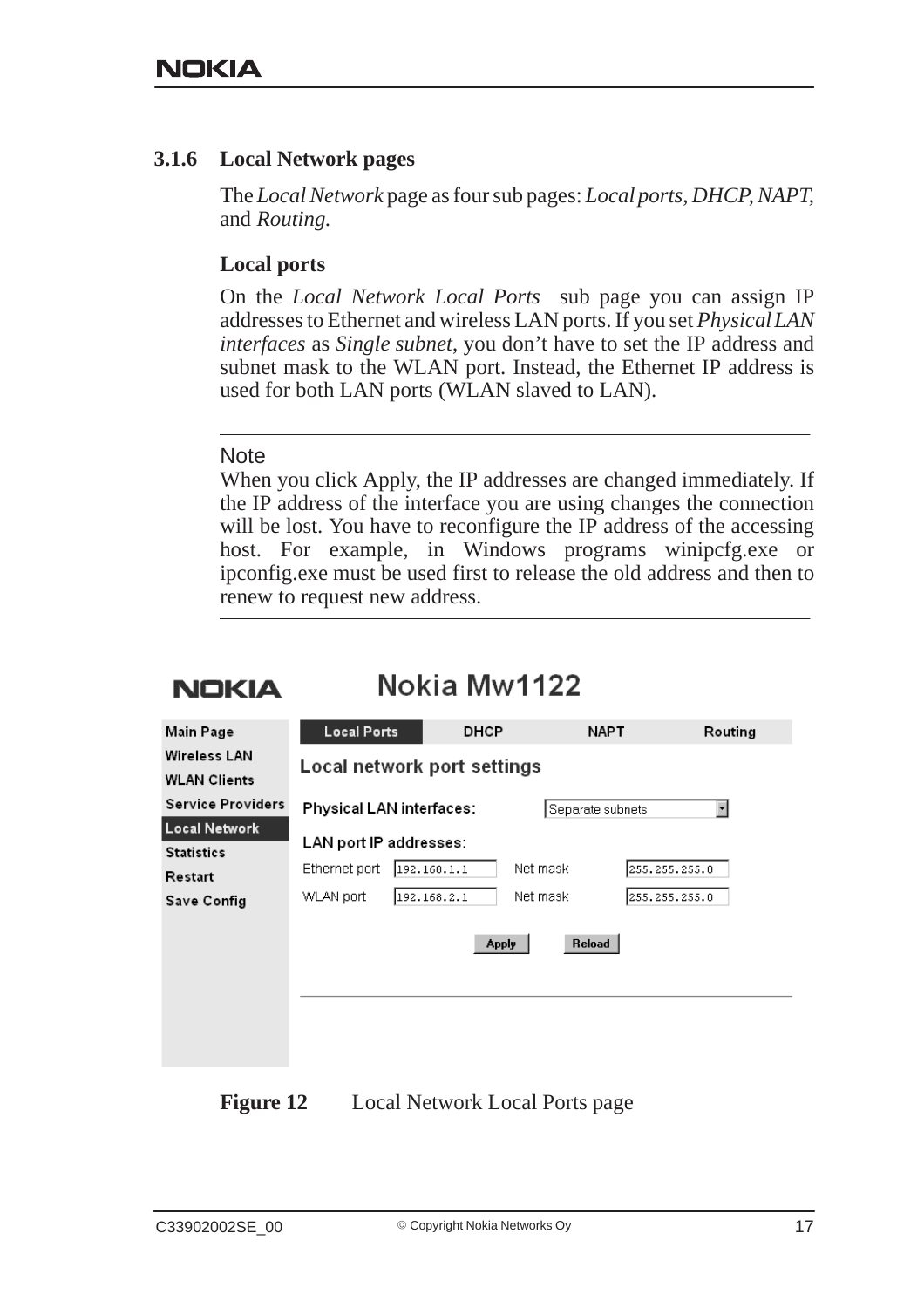#### **3.1.6 Local Network pages**

The *Local Network* page as four sub pages: *Local ports*, *DHCP*, *NAPT*, and *Routing*.

#### **Local ports**

On the *Local Network Local Ports* sub page you can assign IP addresses to Ethernet and wireless LAN ports. If you set *Physical LAN interfaces* as *Single subnet*, you don't have to set the IP address and subnet mask to the WLAN port. Instead, the Ethernet IP address is used for both LAN ports (WLAN slaved to LAN).

#### **Note**

When you click Apply, the IP addresses are changed immediately. If the IP address of the interface you are using changes the connection will be lost. You have to reconfigure the IP address of the accessing host. For example, in Windows programs winipcfg.exe or ipconfig.exe must be used first to release the old address and then to renew to request new address.

## **NOKIA**

## Nokia Mw1122

| Main Page                                                    | <b>Local Ports</b>                                   | <b>DHCP</b>                 |                                      | <b>NAPT</b>      | Routing                        |
|--------------------------------------------------------------|------------------------------------------------------|-----------------------------|--------------------------------------|------------------|--------------------------------|
| <b>Wireless LAN</b><br><b>WLAN Clients</b>                   | Local network port settings                          |                             |                                      |                  |                                |
| <b>Service Providers</b>                                     |                                                      | Physical LAN interfaces:    |                                      | Separate subnets | $\overline{\phantom{a}}$       |
| Local Network<br><b>Statistics</b><br>Restart<br>Save Config | LAN port IP addresses:<br>Ethernet port<br>WLAN port | 1192.168.1.1<br>192.168.2.1 | Net mask<br>Net mask<br><b>Apply</b> | Reload           | 255.255.255.0<br>255.255.255.0 |
|                                                              |                                                      |                             |                                      |                  |                                |

**Figure 12** Local Network Local Ports page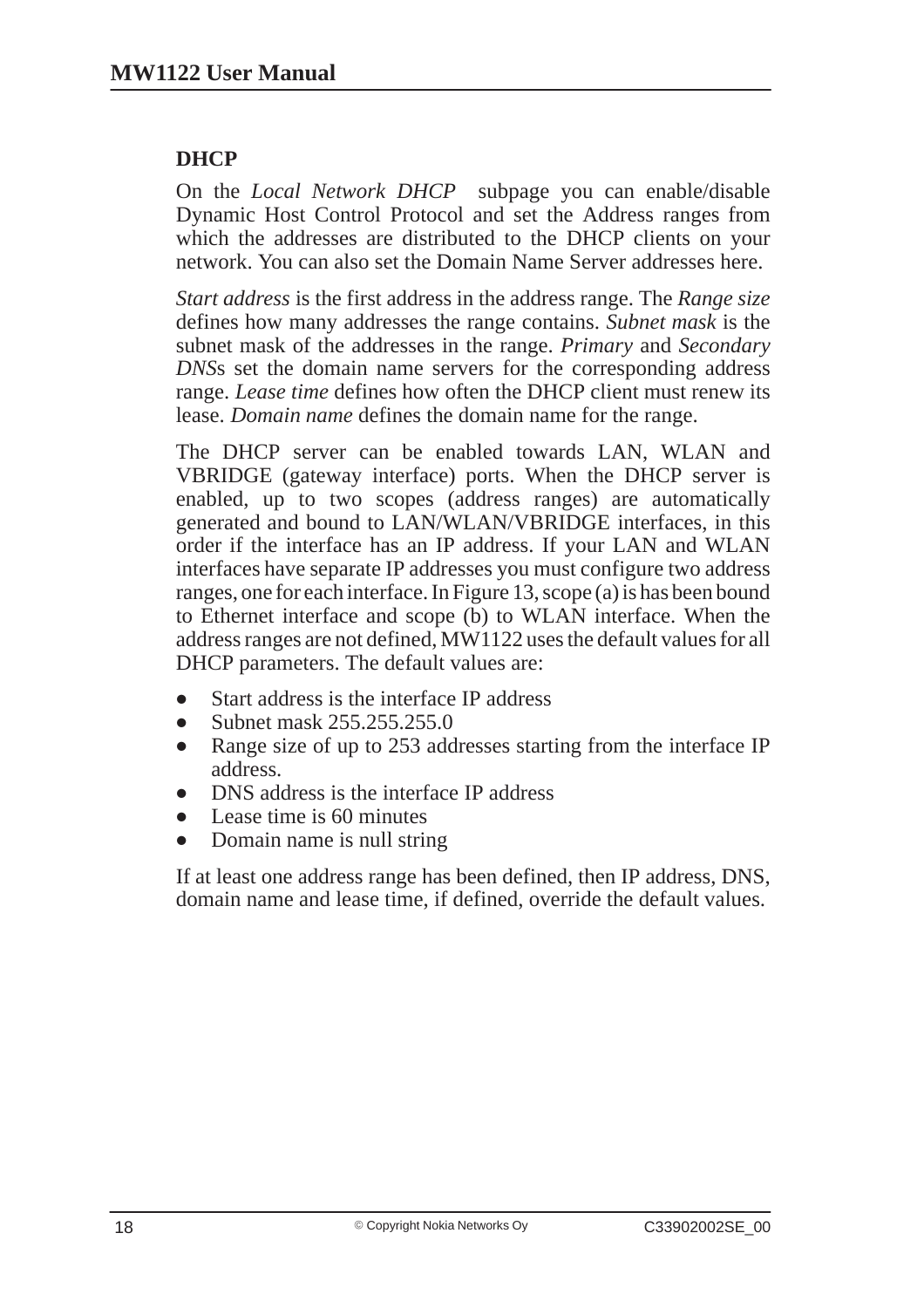### **DHCP**

On the *Local Network DHCP* subpage you can enable/disable Dynamic Host Control Protocol and set the Address ranges from which the addresses are distributed to the DHCP clients on your network. You can also set the Domain Name Server addresses here.

*Start address* is the first address in the address range. The *Range size* defines how many addresses the range contains. *Subnet mask* is the subnet mask of the addresses in the range. *Primary* and *Secondary DNS*s set the domain name servers for the corresponding address range. *Lease time* defines how often the DHCP client must renew its lease. *Domain name* defines the domain name for the range.

The DHCP server can be enabled towards LAN, WLAN and VBRIDGE (gateway interface) ports. When the DHCP server is enabled, up to two scopes (address ranges) are automatically generated and bound to LAN/WLAN/VBRIDGE interfaces, in this order if the interface has an IP address. If your LAN and WLAN interfaces have separate IP addresses you must configure two address ranges, one for each interface. In Figure 13, scope (a) is has been bound to Ethernet interface and scope (b) to WLAN interface. When the address ranges are not defined, MW1122 uses the default values for all DHCP parameters. The default values are:

- $\blacksquare$ Start address is the interface IP address
- $\bullet$ Subnet mask 255.255.255.0
- $\bullet$  Range size of up to 253 addresses starting from the interface IP address.
- $\bullet$ DNS address is the interface IP address
- $\bullet$ Lease time is 60 minutes
- $\bullet$ Domain name is null string

If at least one address range has been defined, then IP address, DNS, domain name and lease time, if defined, override the default values.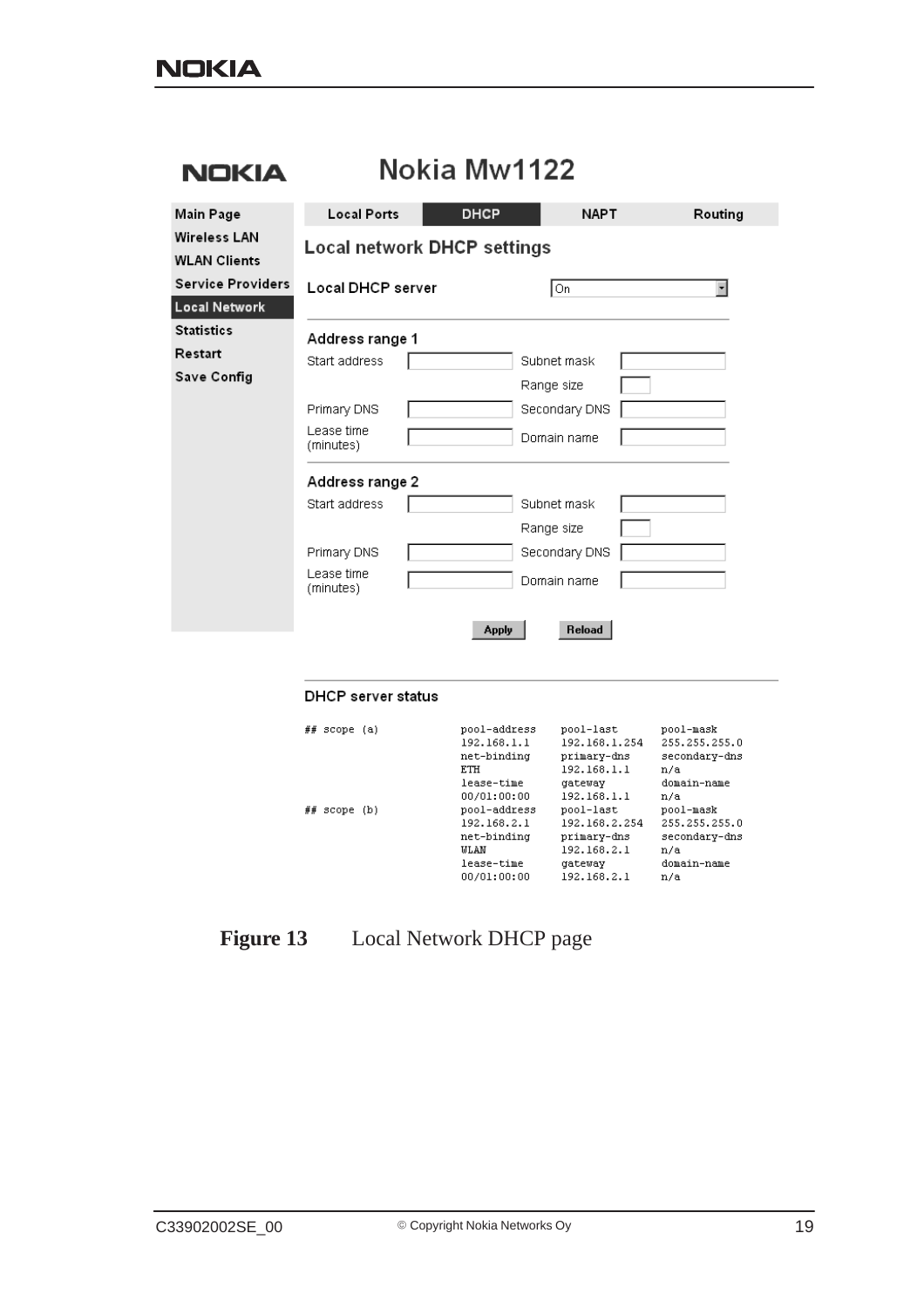| <b>NOKIA</b>                               | Nokia Mw1122                       |  |              |               |  |         |
|--------------------------------------------|------------------------------------|--|--------------|---------------|--|---------|
| Main Page                                  | <b>Local Ports</b>                 |  | <b>DHCP</b>  | <b>NAPT</b>   |  | Routing |
| <b>Wireless LAN</b><br><b>WLAN Clients</b> | <b>Local network DHCP settings</b> |  |              |               |  |         |
| <b>Service Providers</b>                   | Local DHCP server                  |  |              | On            |  | ⊣       |
| Local Network                              |                                    |  |              |               |  |         |
| <b>Statistics</b>                          | Address range 1                    |  |              |               |  |         |
| Restart                                    | Start address                      |  |              | Subnet mask   |  |         |
| Save Config                                |                                    |  |              | Range size    |  |         |
|                                            | Primary DNS                        |  |              | Secondary DNS |  |         |
|                                            | Lease time<br>(minutes)            |  |              | Domain name   |  |         |
|                                            | Address range 2                    |  |              |               |  |         |
|                                            | Start address                      |  |              | Subnet mask   |  |         |
|                                            |                                    |  |              | Range size    |  |         |
|                                            | Primary DNS                        |  |              | Secondary DNS |  |         |
|                                            | Lease time<br>(minutes)            |  |              | Domain name   |  |         |
|                                            |                                    |  | <b>Apply</b> | Reload        |  |         |
|                                            |                                    |  |              |               |  |         |
|                                            | <b>DHCP</b> server status          |  |              |               |  |         |

| ##<br>scope     | (a) | pool-address | pool-last     | pool-mask     |
|-----------------|-----|--------------|---------------|---------------|
|                 |     | 192.168.1.1  | 192.168.1.254 | 255.255.255.0 |
|                 |     | net-binding  | primary-dns   | secondary-dns |
|                 |     | <b>ETH</b>   | 192.168.1.1   | n/a           |
|                 |     | lease-time   | gateway       | domain-name   |
|                 |     | 00/01:00:00  | 192.168.1.1   | n/a           |
| ##<br>scope (b) |     | pool-address | pool-last     | pool-mask     |
|                 |     | 192.168.2.1  | 192.168.2.254 | 255.255.255.0 |
|                 |     | net-binding  | primary-dns   | secondary-dns |
|                 |     | <b>WLAN</b>  | 192.168.2.1   | n/a           |
|                 |     | lease-time   | gateway       | domain-name   |
|                 |     | 00/01:00:00  | 192.168.2.1   | n/a           |
|                 |     |              |               |               |

## **Figure 13** Local Network DHCP page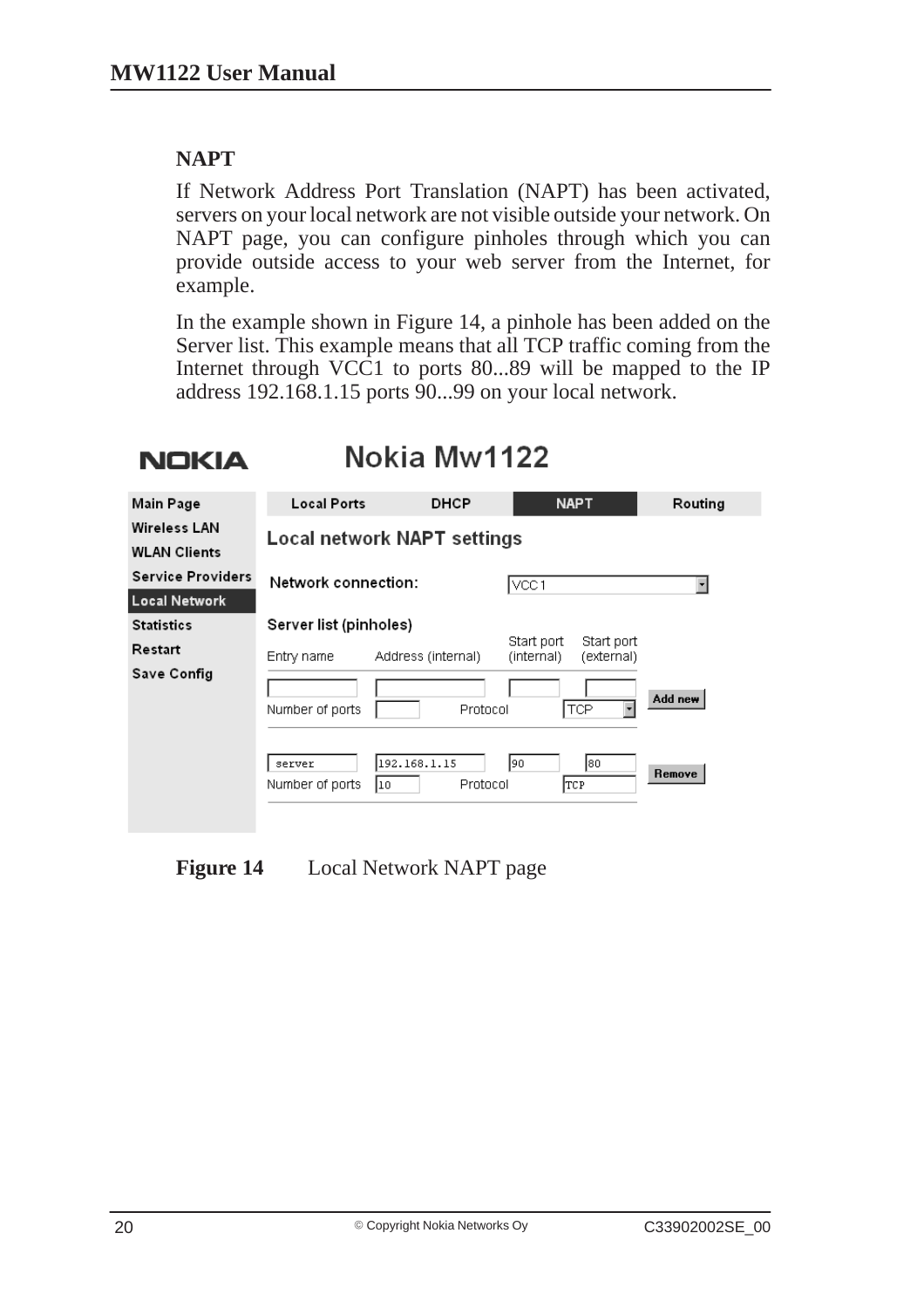### **NAPT**

If Network Address Port Translation (NAPT) has been activated, servers on your local network are not visible outside your network. On NAPT page, you can configure pinholes through which you can provide outside access to your web server from the Internet, for example.

In the example shown in Figure 14, a pinhole has been added on the Server list. This example means that all TCP traffic coming from the Internet through VCC1 to ports 80...89 will be mapped to the IP address 192.168.1.15 ports 90...99 on your local network.

## **NOKIA**

## Nokia Mw1122

| Main Page                           | <b>Local Ports</b>        | <b>DHCP</b>                          | <b>NAPT</b>                                          | Routing           |
|-------------------------------------|---------------------------|--------------------------------------|------------------------------------------------------|-------------------|
| Wireless LAN<br><b>WLAN Clients</b> |                           | <b>Local network NAPT settings</b>   |                                                      |                   |
| <b>Service Providers</b>            | Network connection:       |                                      | VCC1                                                 |                   |
| <b>Local Network</b>                |                           |                                      |                                                      |                   |
| <b>Statistics</b>                   | Server list (pinholes)    |                                      |                                                      |                   |
| Restart                             | Entry name                | Address (internal)                   | Start port<br>Start port<br>(external)<br>(internal) |                   |
| Save Config                         | Number of ports<br>server | Protocol<br>192.168.1.15<br>Protocol | <b>TCP</b><br>180<br>90.                             | Add new<br>Remove |
|                                     | Number of ports           | l10                                  | TCP                                                  |                   |

**Figure 14** Local Network NAPT page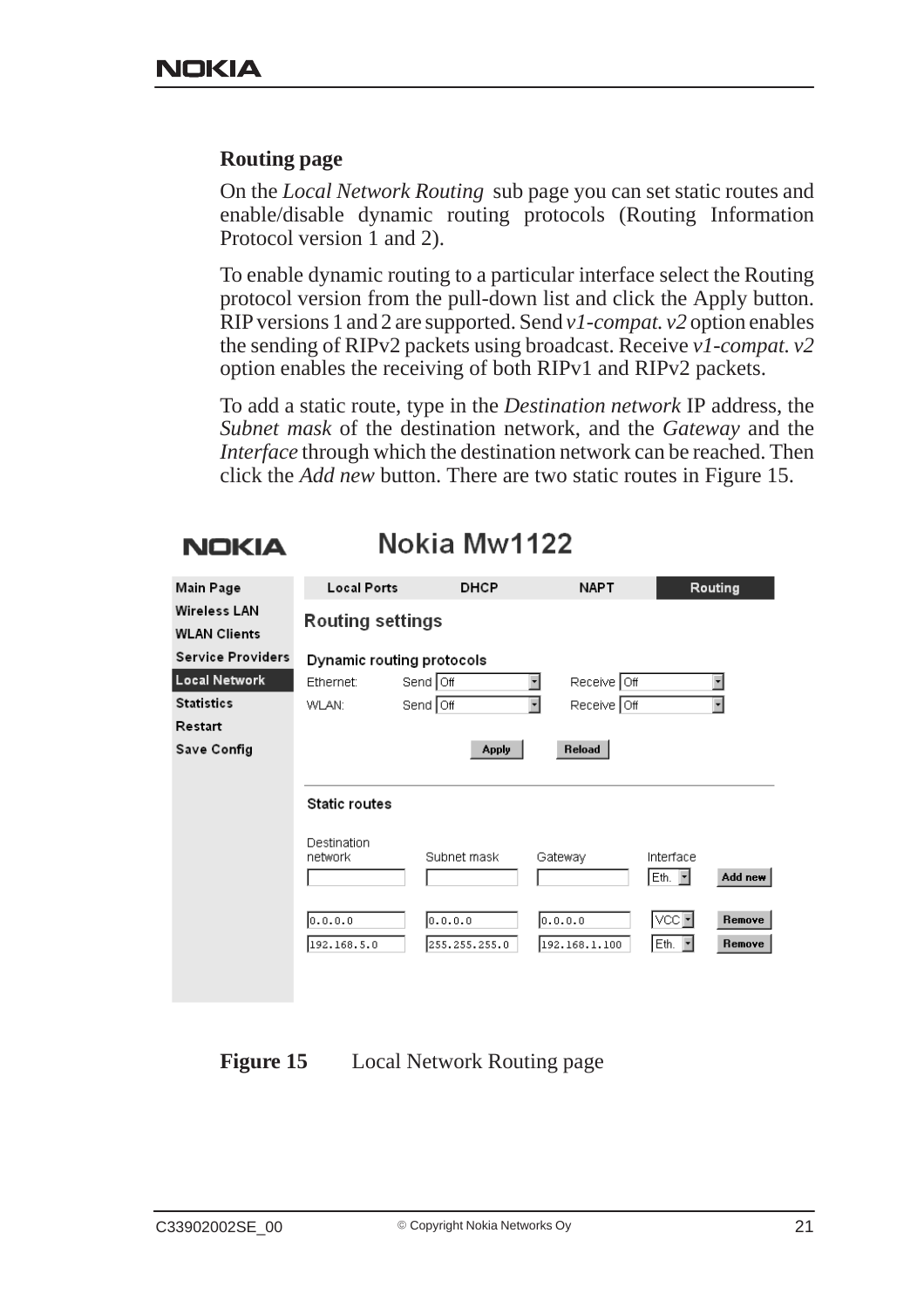#### **Routing page**

On the *Local Network Routing* sub page you can set static routes and enable/disable dynamic routing protocols (Routing Information Protocol version 1 and 2).

To enable dynamic routing to a particular interface select the Routing protocol version from the pull-down list and click the Apply button. RIP versions 1 and 2 are supported. Send *v1-compat. v2* option enables the sending of RIPv2 packets using broadcast. Receive *v1-compat. v2* option enables the receiving of both RIPv1 and RIPv2 packets.

To add a static route, type in the *Destination network* IP address, the *Subnet mask* of the destination network, and the *Gateway* and the *Interface* through which the destination network can be reached. Then click the *Add new* button. There are two static routes in Figure 15.

### **NOKIA**

Nokia Mw1122

| Main Page                                  | <b>Local Ports</b>        | <b>DHCP</b>              | <b>NAPT</b>                             | Routing                                              |
|--------------------------------------------|---------------------------|--------------------------|-----------------------------------------|------------------------------------------------------|
| <b>Wireless LAN</b><br><b>WLAN Clients</b> | <b>Routing settings</b>   |                          |                                         |                                                      |
| <b>Service Providers</b>                   | Dynamic routing protocols |                          |                                         |                                                      |
| <b>Local Network</b>                       | Ethernet:                 | Send Off                 | Receive Off<br>$\overline{\phantom{a}}$ |                                                      |
| <b>Statistics</b>                          | WLAN:                     | Send Off                 | न<br>Receive Off                        | $\overline{\phantom{a}}$                             |
| Restart                                    |                           |                          |                                         |                                                      |
| Save Config                                |                           | <b>Apply</b>             | Reload                                  |                                                      |
|                                            |                           |                          |                                         |                                                      |
|                                            | <b>Static routes</b>      |                          |                                         |                                                      |
|                                            | Destination<br>network    | Subnet mask              | Gateway                                 | Interface<br>Add new<br>Eth.<br>$\blacktriangledown$ |
|                                            | 0.0.0.0<br>192.168.5.0    | 0.0.0.0<br>255.255.255.0 | 0.0.0.0<br>192.168.1.100                | VCC + <br>Remove<br>Eth. <b>-</b><br>Remove          |

**Figure 15** Local Network Routing page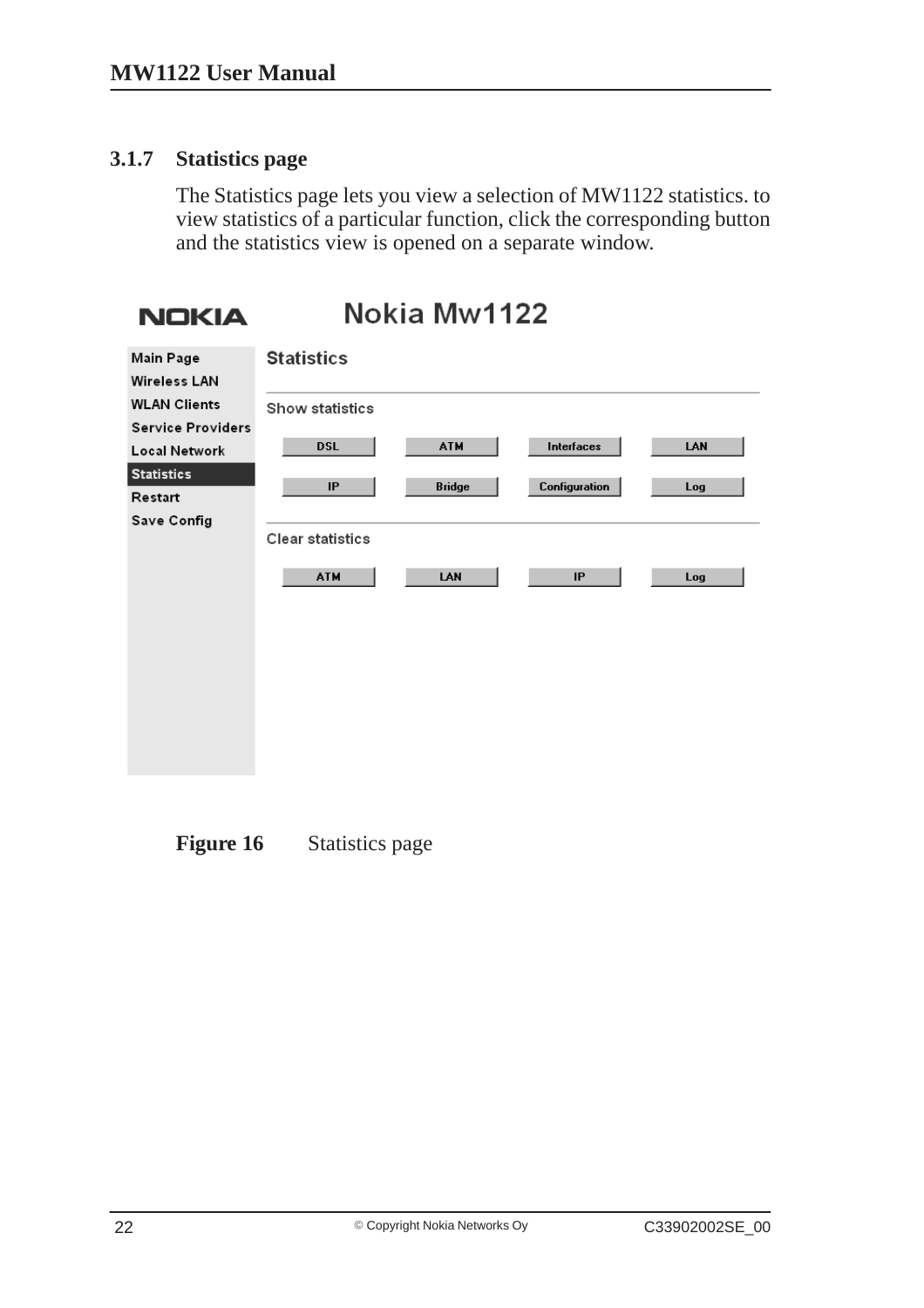#### **3.1.7 Statistics page**

The Statistics page lets you view a selection of MW1122 statistics. to view statistics of a particular function, click the corresponding button and the statistics view is opened on a separate window.

```
Nokia Mw1122
 NOKIA
                 Statistics
Main Page
Wireless LAN
WLAN Clients
                 Show statistics
Service Providers
                       DSL
                                       ATM
                                                    Interfaces
                                                                      LAN
Local Network
Statistics
                        IP
                                      Bridge
                                                  Configuration
                                                                      Log
Restart
Save Config
                 Clear statistics
                       ATM
                                       LAN
                                                        IPLog
```
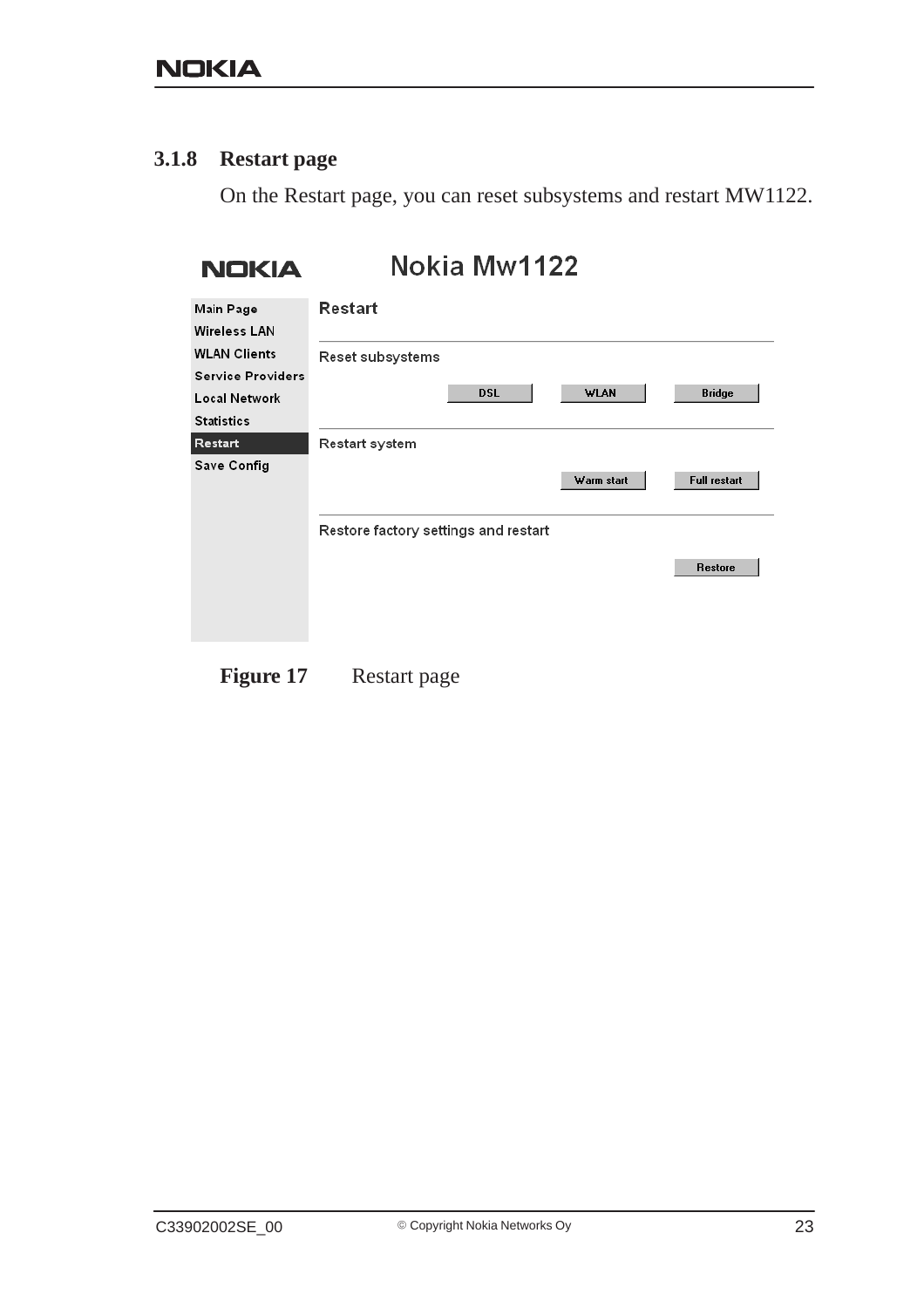#### **3.1.8 Restart page**

On the Restart page, you can reset subsystems and restart MW1122.

| <b>NOKIA</b>                                                   | Nokia Mw1122                         |             |                     |
|----------------------------------------------------------------|--------------------------------------|-------------|---------------------|
| Main Page<br><b>Wireless LAN</b>                               | <b>Restart</b>                       |             |                     |
| <b>WLAN Clients</b>                                            | Reset subsystems                     |             |                     |
| <b>Service Providers</b><br>Local Network<br><b>Statistics</b> | <b>DSL</b>                           | <b>WLAN</b> | <b>Bridge</b>       |
| Restart                                                        | Restart system                       |             |                     |
| Save Config                                                    |                                      | Warm start  | <b>Full restart</b> |
|                                                                | Restore factory settings and restart |             |                     |
|                                                                |                                      |             | <b>Restore</b>      |
|                                                                |                                      |             |                     |
|                                                                |                                      |             |                     |
|                                                                |                                      |             |                     |

Figure 17 Restart page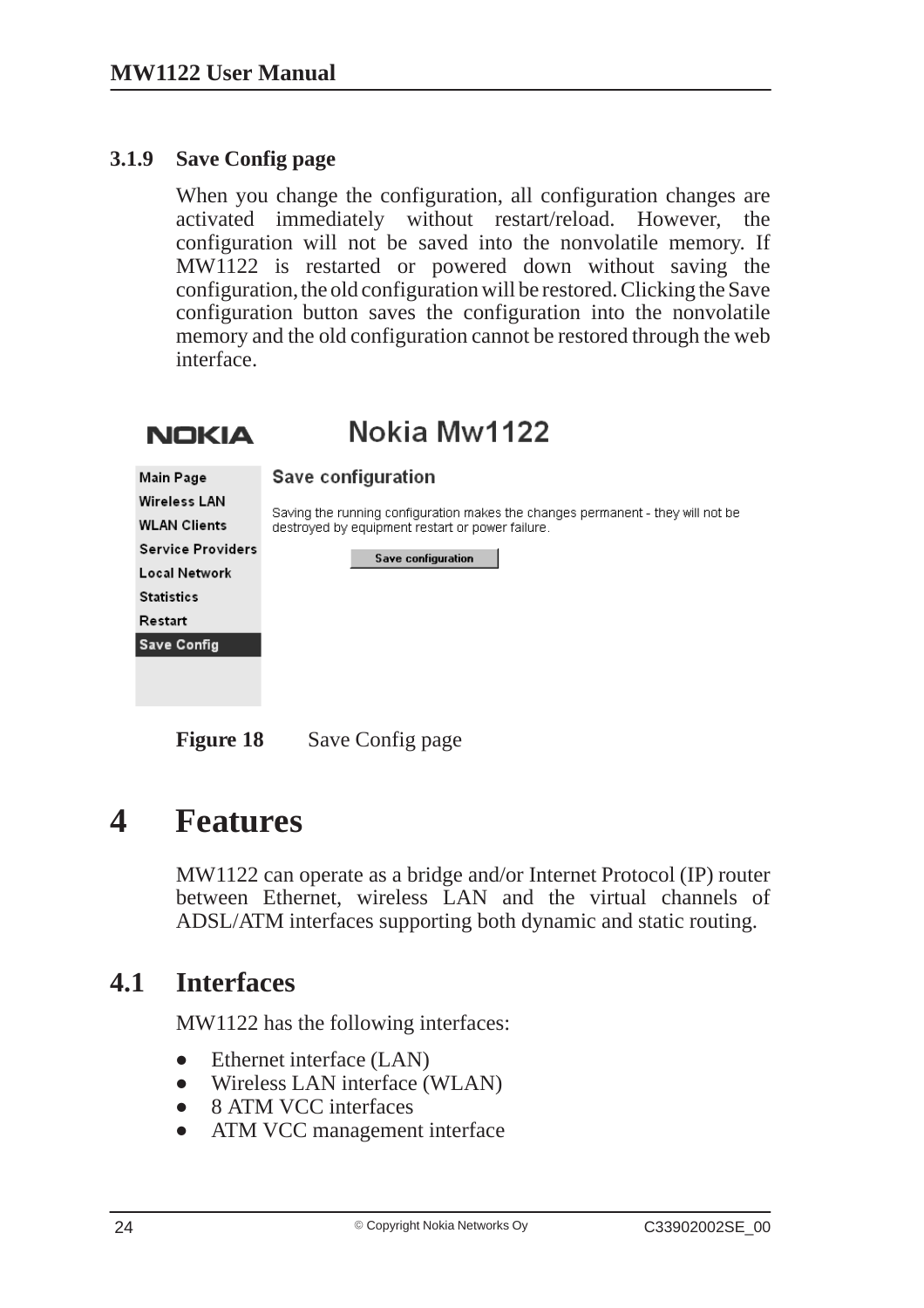#### **3.1.9 Save Config page**

When you change the configuration, all configuration changes are activated immediately without restart/reload. However, the configuration will not be saved into the nonvolatile memory. If MW1122 is restarted or powered down without saving the configuration, the old configuration will be restored. Clicking the Save configuration button saves the configuration into the nonvolatile memory and the old configuration cannot be restored through the web interface.



**Figure 18** Save Config page

## **4 Features**

MW1122 can operate as a bridge and/or Internet Protocol (IP) router between Ethernet, wireless LAN and the virtual channels of ADSL/ATM interfaces supporting both dynamic and static routing.

### **4.1 Interfaces**

MW1122 has the following interfaces:

- $\bullet$ Ethernet interface (LAN)
- Wireless LAN interface (WLAN)
- $\bullet$ 8 ATM VCC interfaces
- ATM VCC management interface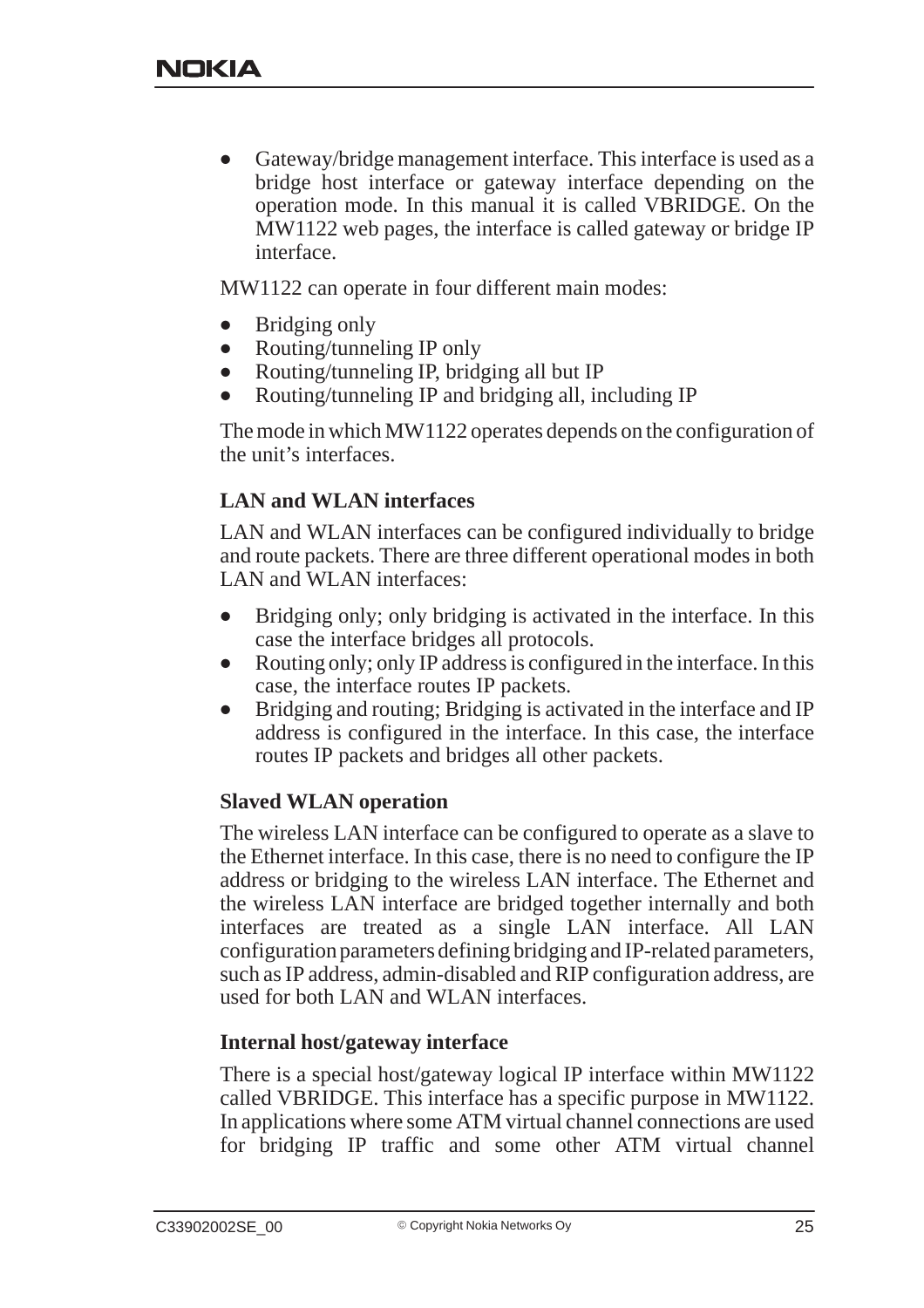$\bullet$  Gateway/bridge management interface. This interface is used as a bridge host interface or gateway interface depending on the operation mode. In this manual it is called VBRIDGE. On the MW1122 web pages, the interface is called gateway or bridge IP interface.

MW1122 can operate in four different main modes:

- $\bullet$ Bridging only
- $\bullet$ Routing/tunneling IP only
- $\bullet$ Routing/tunneling IP, bridging all but IP
- $\bullet$ Routing/tunneling IP and bridging all, including IP

The mode in which MW1122 operates depends on the configuration of the unit's interfaces.

#### **LAN and WLAN interfaces**

LAN and WLAN interfaces can be configured individually to bridge and route packets. There are three different operational modes in both LAN and WLAN interfaces:

- $\bullet$  Bridging only; only bridging is activated in the interface. In this case the interface bridges all protocols.
- $\bullet$  Routing only; only IP address is configured in the interface. In this case, the interface routes IP packets.
- $\bullet$  Bridging and routing; Bridging is activated in the interface and IP address is configured in the interface. In this case, the interface routes IP packets and bridges all other packets.

#### **Slaved WLAN operation**

The wireless LAN interface can be configured to operate as a slave to the Ethernet interface. In this case, there is no need to configure the IP address or bridging to the wireless LAN interface. The Ethernet and the wireless LAN interface are bridged together internally and both interfaces are treated as a single LAN interface. All LAN configuration parameters defining bridging and IP-related parameters, such as IP address, admin-disabled and RIP configuration address, are used for both LAN and WLAN interfaces.

#### **Internal host/gateway interface**

There is a special host/gateway logical IP interface within MW1122 called VBRIDGE. This interface has a specific purpose in MW1122. In applications where some ATM virtual channel connections are used for bridging IP traffic and some other ATM virtual channel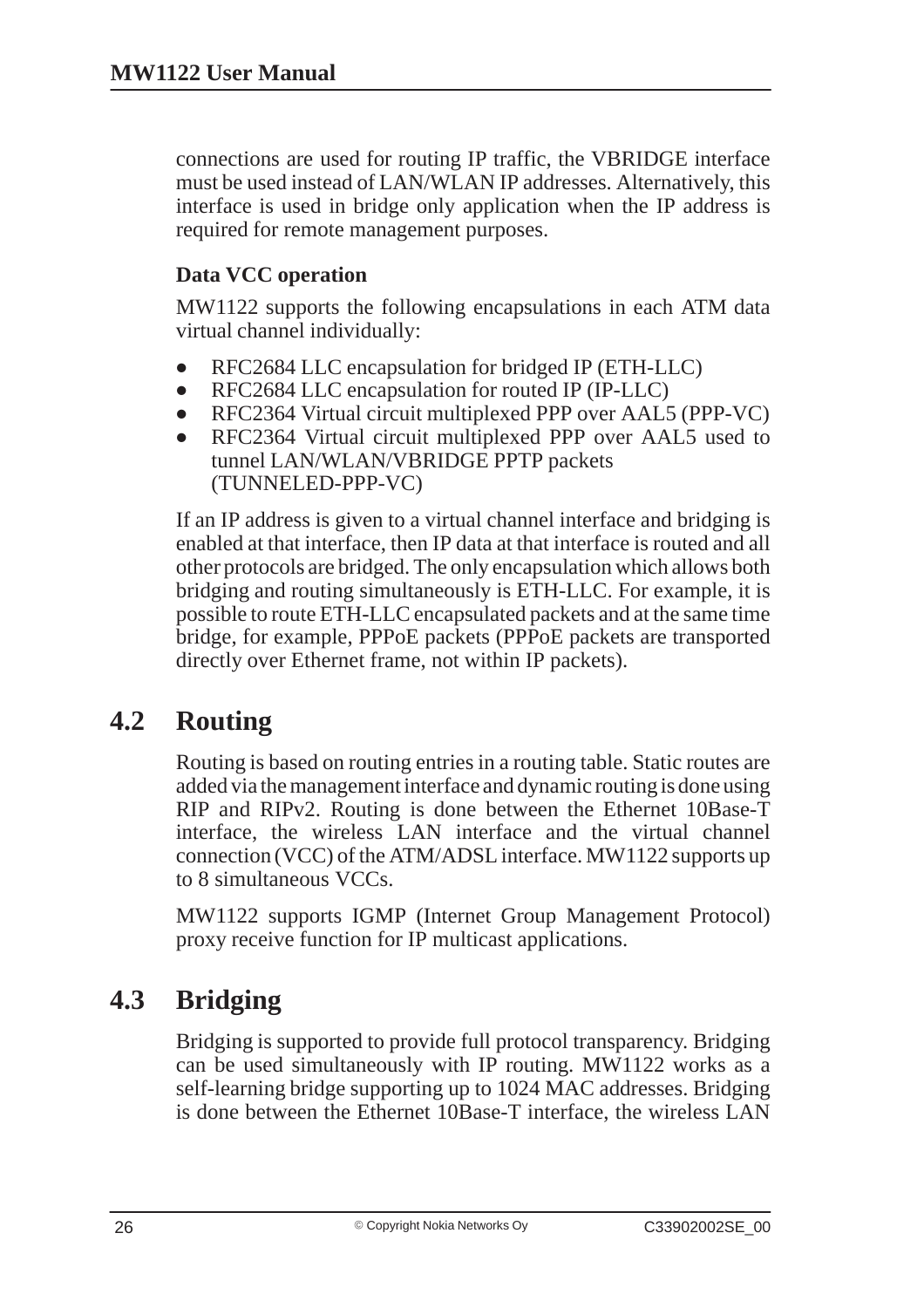connections are used for routing IP traffic, the VBRIDGE interface must be used instead of LAN/WLAN IP addresses. Alternatively, this interface is used in bridge only application when the IP address is required for remote management purposes.

### **Data VCC operation**

MW1122 supports the following encapsulations in each ATM data virtual channel individually:

- $\bullet$ RFC2684 LLC encapsulation for bridged IP (ETH-LLC)
- $\bullet$ RFC2684 LLC encapsulation for routed IP (IP-LLC)
- $\bullet$ RFC2364 Virtual circuit multiplexed PPP over AAL5 (PPP-VC)
- $\bullet$  RFC2364 Virtual circuit multiplexed PPP over AAL5 used to tunnel LAN/WLAN/VBRIDGE PPTP packets (TUNNELED-PPP-VC)

If an IP address is given to a virtual channel interface and bridging is enabled at that interface, then IP data at that interface is routed and all other protocols are bridged. The only encapsulation which allows both bridging and routing simultaneously is ETH-LLC. For example, it is possible to route ETH-LLC encapsulated packets and at the same time bridge, for example, PPPoE packets (PPPoE packets are transported directly over Ethernet frame, not within IP packets).

## **4.2 Routing**

Routing is based on routing entries in a routing table. Static routes are added via the management interface and dynamic routing is done using RIP and RIPv2. Routing is done between the Ethernet 10Base-T interface, the wireless LAN interface and the virtual channel connection (VCC) of the ATM/ADSL interface. MW1122 supports up to 8 simultaneous VCCs.

MW1122 supports IGMP (Internet Group Management Protocol) proxy receive function for IP multicast applications.

## **4.3 Bridging**

Bridging is supported to provide full protocol transparency. Bridging can be used simultaneously with IP routing. MW1122 works as a self-learning bridge supporting up to 1024 MAC addresses. Bridging is done between the Ethernet 10Base-T interface, the wireless LAN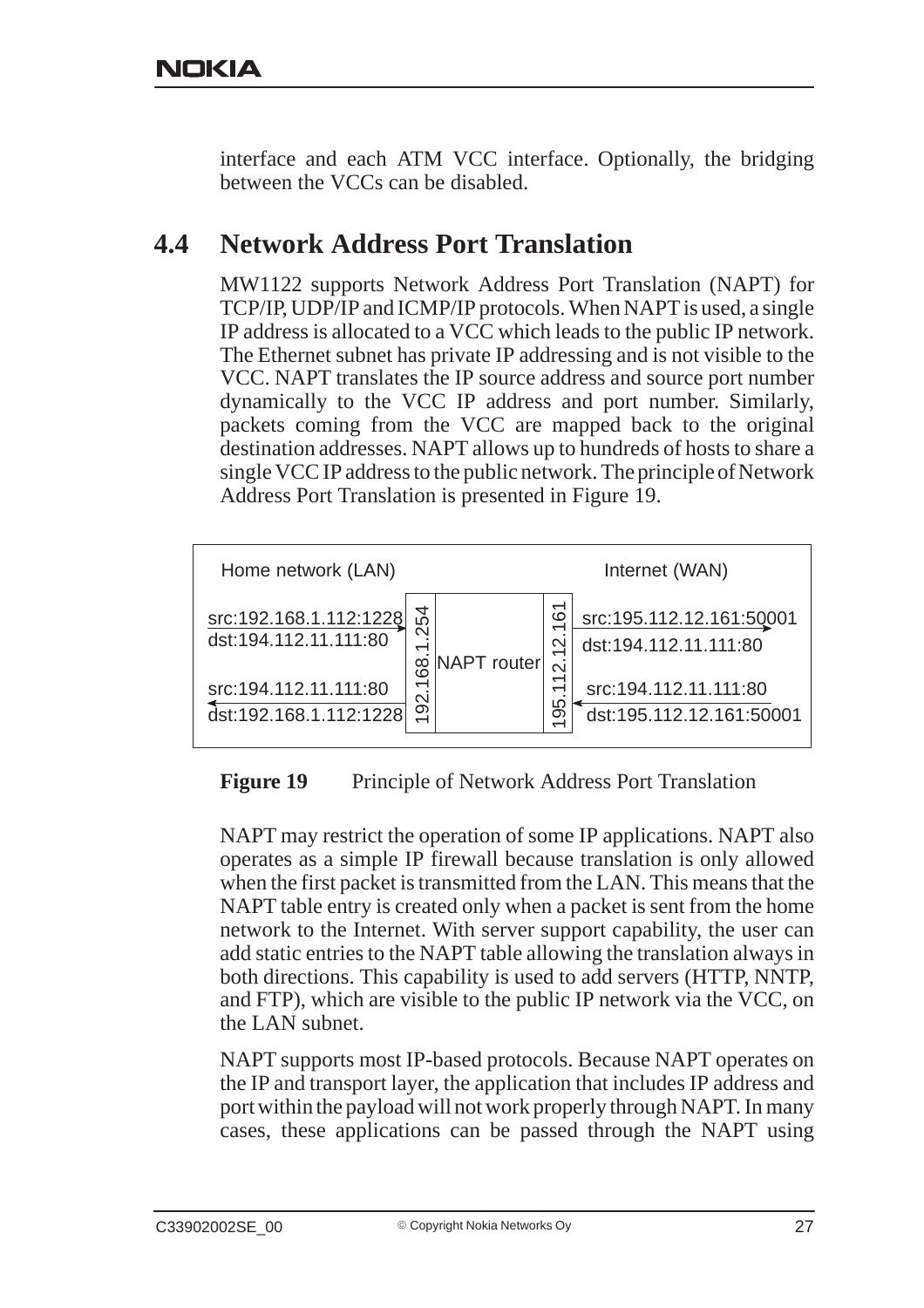interface and each ATM VCC interface. Optionally, the bridging between the VCCs can be disabled.

## **4.4 Network Address Port Translation**

MW1122 supports Network Address Port Translation (NAPT) for TCP/IP, UDP/IP and ICMP/IP protocols. When NAPT is used, a single IP address is allocated to a VCC which leads to the public IP network. The Ethernet subnet has private IP addressing and is not visible to the VCC. NAPT translates the IP source address and source port number dynamically to the VCC IP address and port number. Similarly, packets coming from the VCC are mapped back to the original destination addresses. NAPT allows up to hundreds of hosts to share a single VCC IP address to the public network. The principle of Network Address Port Translation is presented in Figure 19.



#### **Figure 19** Principle of Network Address Port Translation

NAPT may restrict the operation of some IP applications. NAPT also operates as a simple IP firewall because translation is only allowed when the first packet is transmitted from the LAN. This means that the NAPT table entry is created only when a packet is sent from the home network to the Internet. With server support capability, the user can add static entries to the NAPT table allowing the translation always in both directions. This capability is used to add servers (HTTP, NNTP, and FTP), which are visible to the public IP network via the VCC, on the LAN subnet.

NAPT supports most IP-based protocols. Because NAPT operates on the IP and transport layer, the application that includes IP address and port within the payload will not work properly through NAPT. In many cases, these applications can be passed through the NAPT using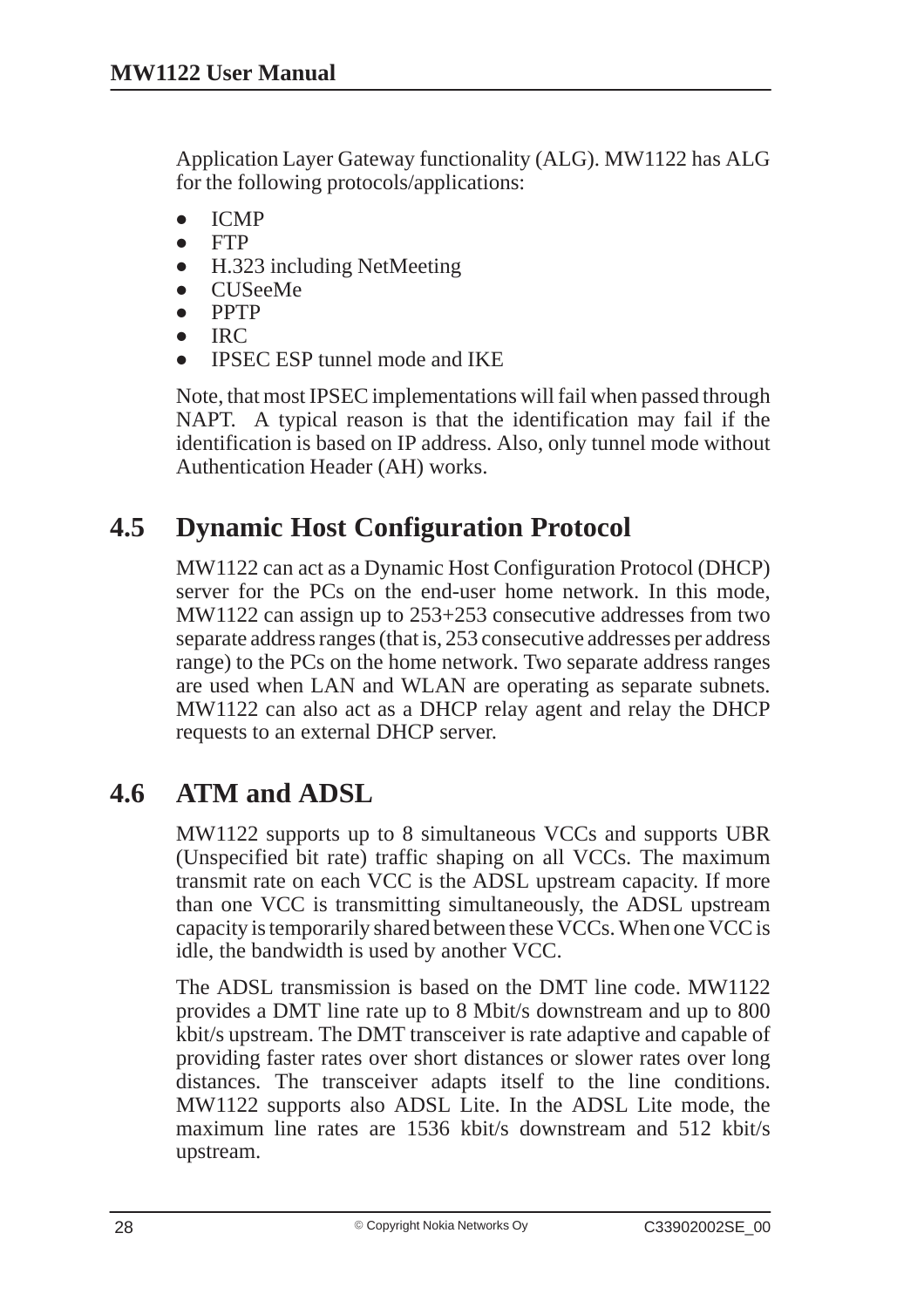Application Layer Gateway functionality (ALG). MW1122 has ALG for the following protocols/applications:

- $\bullet$ ICMP
- $\bullet$ FTP
- $\bullet$ H.323 including NetMeeting
- $\bullet$ CUSeeMe
- $\bullet$ PPTP
- $\bullet$  $IRC$
- $\bullet$ IPSEC ESP tunnel mode and IKE

Note, that most IPSEC implementations will fail when passed through NAPT. A typical reason is that the identification may fail if the identification is based on IP address. Also, only tunnel mode without Authentication Header (AH) works.

## **4.5 Dynamic Host Configuration Protocol**

MW1122 can act as a Dynamic Host Configuration Protocol (DHCP) server for the PCs on the end-user home network. In this mode, MW1122 can assign up to 253+253 consecutive addresses from two separate address ranges (that is, 253 consecutive addresses per address range) to the PCs on the home network. Two separate address ranges are used when LAN and WLAN are operating as separate subnets. MW1122 can also act as a DHCP relay agent and relay the DHCP requests to an external DHCP server.

## **4.6 ATM and ADSL**

MW1122 supports up to 8 simultaneous VCCs and supports UBR (Unspecified bit rate) traffic shaping on all VCCs. The maximum transmit rate on each VCC is the ADSL upstream capacity. If more than one VCC is transmitting simultaneously, the ADSL upstream capacity is temporarily shared between these VCCs. When one VCC is idle, the bandwidth is used by another VCC.

The ADSL transmission is based on the DMT line code. MW1122 provides a DMT line rate up to 8 Mbit/s downstream and up to 800 kbit/s upstream. The DMT transceiver is rate adaptive and capable of providing faster rates over short distances or slower rates over long distances. The transceiver adapts itself to the line conditions. MW1122 supports also ADSL Lite. In the ADSL Lite mode, the maximum line rates are 1536 kbit/s downstream and 512 kbit/s upstream.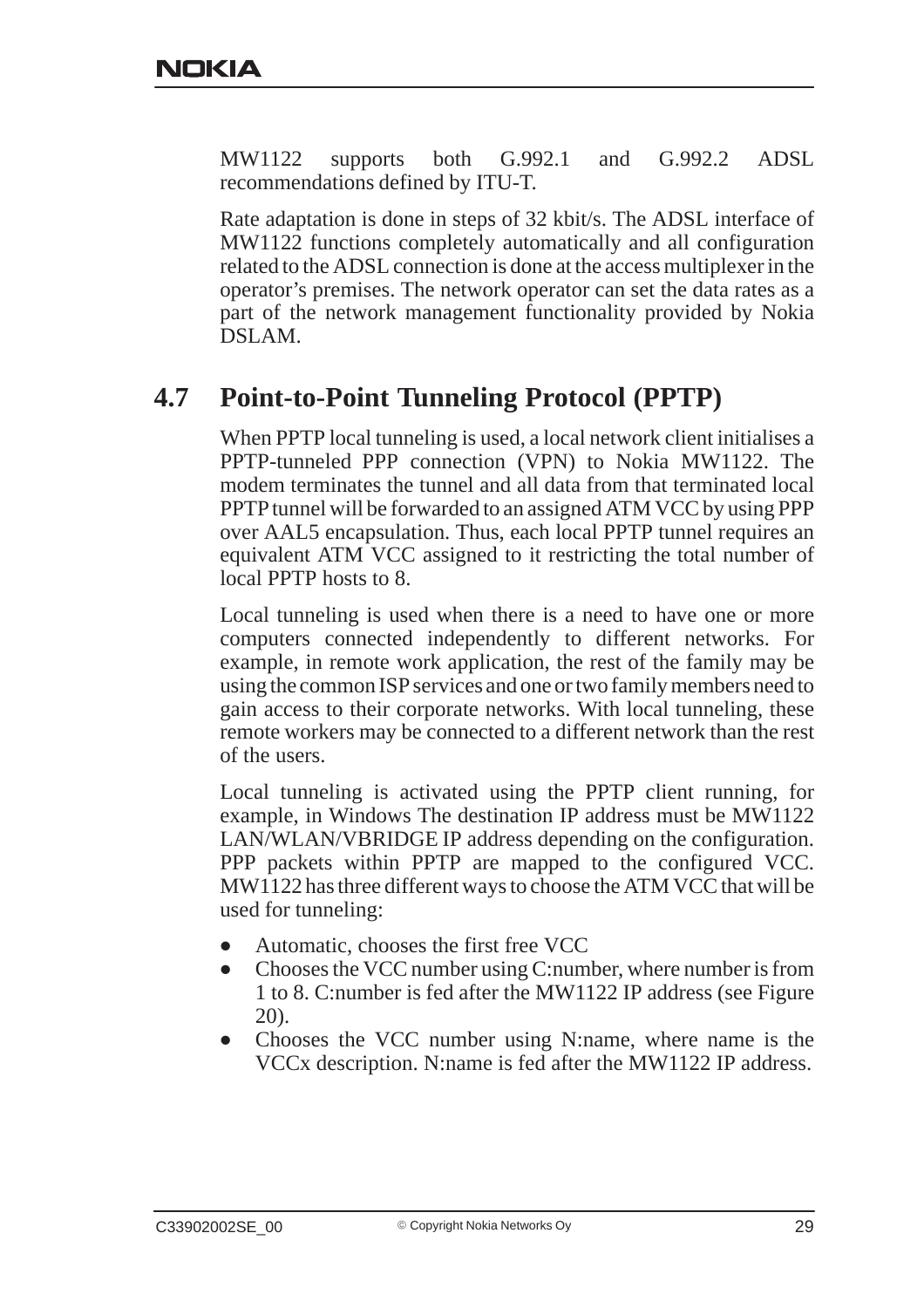MW1122 supports both G.992.1 and G.992.2 ADSL recommendations defined by ITU-T.

Rate adaptation is done in steps of 32 kbit/s. The ADSL interface of MW1122 functions completely automatically and all configuration related to the ADSL connection is done at the access multiplexer in the operator's premises. The network operator can set the data rates as a part of the network management functionality provided by Nokia DSLAM.

## **4.7 Point-to-Point Tunneling Protocol (PPTP)**

When PPTP local tunneling is used, a local network client initialises a PPTP-tunneled PPP connection (VPN) to Nokia MW1122. The modem terminates the tunnel and all data from that terminated local PPTP tunnel will be forwarded to an assigned ATM VCC by using PPP over AAL5 encapsulation. Thus, each local PPTP tunnel requires an equivalent ATM VCC assigned to it restricting the total number of local PPTP hosts to 8.

Local tunneling is used when there is a need to have one or more computers connected independently to different networks. For example, in remote work application, the rest of the family may be using the common ISP services and one or two family members need to gain access to their corporate networks. With local tunneling, these remote workers may be connected to a different network than the rest of the users.

Local tunneling is activated using the PPTP client running, for example, in Windows The destination IP address must be MW1122 LAN/WLAN/VBRIDGE IP address depending on the configuration. PPP packets within PPTP are mapped to the configured VCC. MW1122 has three different ways to choose the ATM VCC that will be used for tunneling:

- $\bullet$ Automatic, chooses the first free VCC
- $\bullet$  Chooses the VCC number using C:number, where number is from 1 to 8. C:number is fed after the MW1122 IP address (see Figure 20).
- $\bullet$  Chooses the VCC number using N:name, where name is the VCCx description. N:name is fed after the MW1122 IP address.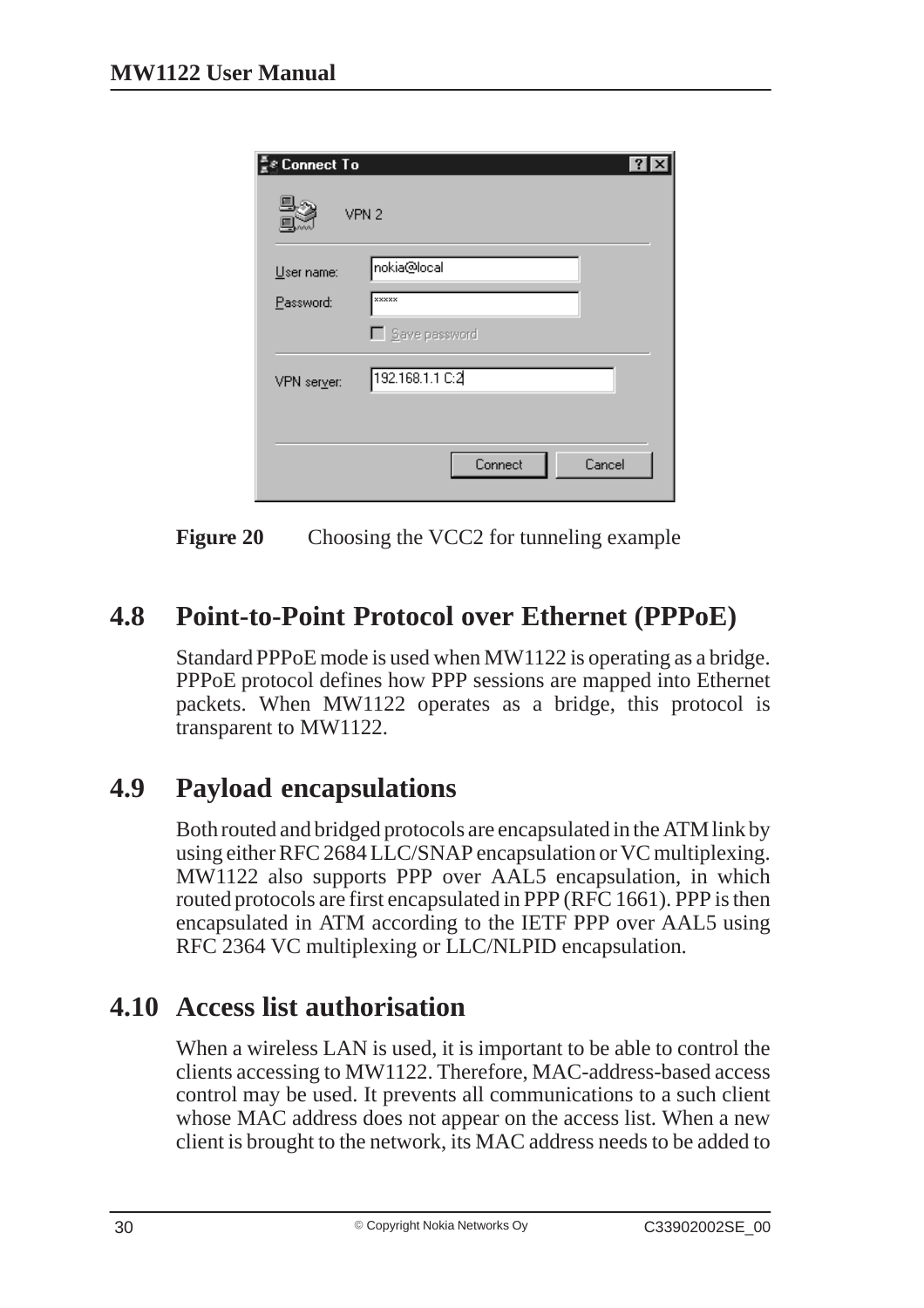| <b>Connect To</b> |                   | $ ?  \times$ |
|-------------------|-------------------|--------------|
|                   | VPN 2             |              |
| User name:        | nokia@local       |              |
| Password:         | <b>xxxxx</b>      |              |
|                   | □ Save password   |              |
| VPN server:       | 192.168.1.1 C:2   |              |
|                   |                   |              |
|                   | Cancel<br>Connect |              |
|                   |                   |              |

**Figure 20** Choosing the VCC2 for tunneling example

## **4.8 Point-to-Point Protocol over Ethernet (PPPoE)**

Standard PPPoE mode is used when MW1122 is operating as a bridge. PPPoE protocol defines how PPP sessions are mapped into Ethernet packets. When MW1122 operates as a bridge, this protocol is transparent to MW1122.

## **4.9 Payload encapsulations**

Both routed and bridged protocols are encapsulated in the ATM link by using either RFC 2684 LLC/SNAP encapsulation or VC multiplexing. MW1122 also supports PPP over AAL5 encapsulation, in which routed protocols are first encapsulated in PPP (RFC 1661). PPP is then encapsulated in ATM according to the IETF PPP over AAL5 using RFC 2364 VC multiplexing or LLC/NLPID encapsulation.

## **4.10 Access list authorisation**

When a wireless LAN is used, it is important to be able to control the clients accessing to MW1122. Therefore, MAC-address-based access control may be used. It prevents all communications to a such client whose MAC address does not appear on the access list. When a new client is brought to the network, its MAC address needs to be added to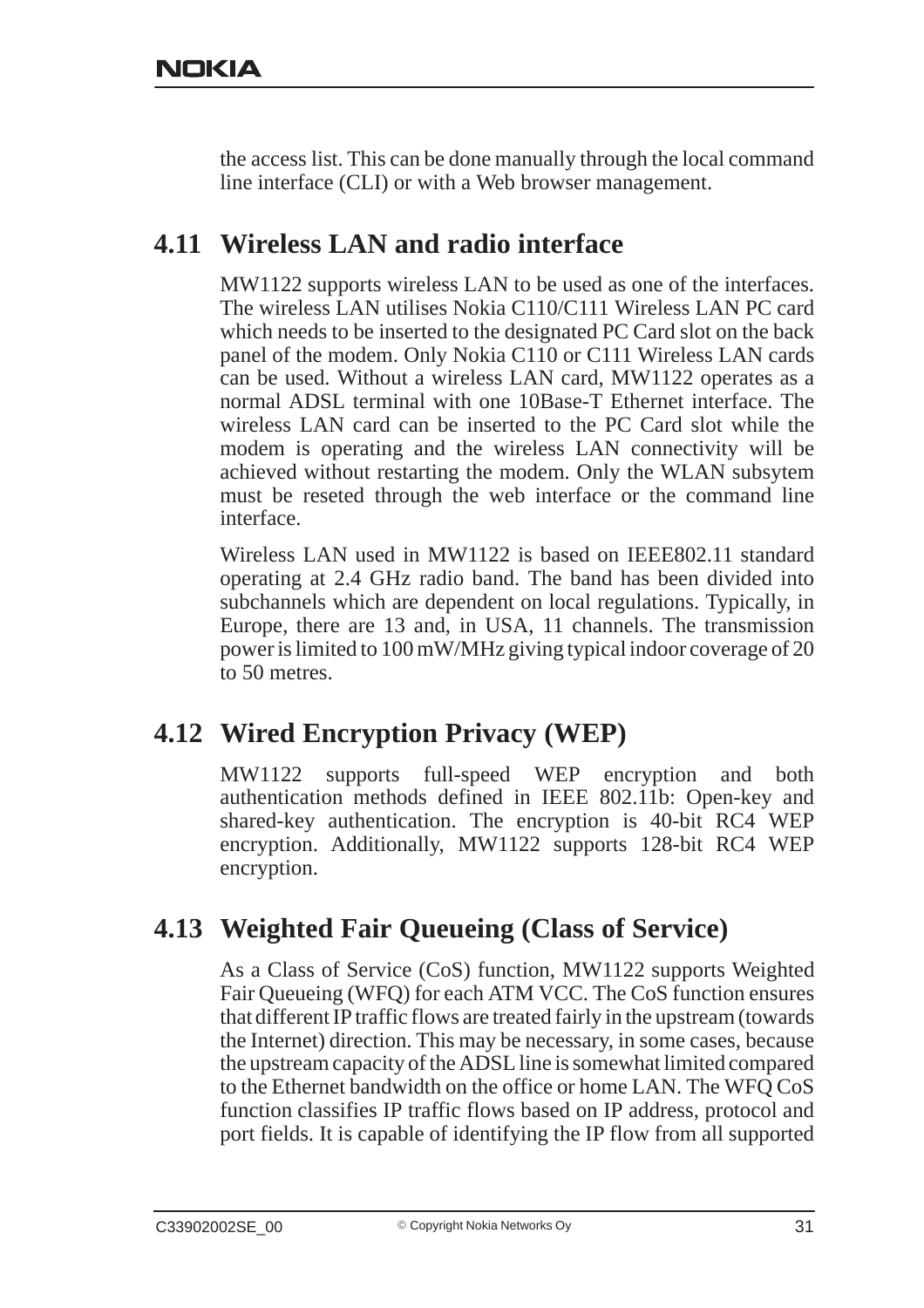the access list. This can be done manually through the local command line interface (CLI) or with a Web browser management.

## **4.11 Wireless LAN and radio interface**

MW1122 supports wireless LAN to be used as one of the interfaces. The wireless LAN utilises Nokia C110/C111 Wireless LAN PC card which needs to be inserted to the designated PC Card slot on the back panel of the modem. Only Nokia C110 or C111 Wireless LAN cards can be used. Without a wireless LAN card, MW1122 operates as a normal ADSL terminal with one 10Base-T Ethernet interface. The wireless LAN card can be inserted to the PC Card slot while the modem is operating and the wireless LAN connectivity will be achieved without restarting the modem. Only the WLAN subsytem must be reseted through the web interface or the command line interface.

Wireless LAN used in MW1122 is based on IEEE802.11 standard operating at 2.4 GHz radio band. The band has been divided into subchannels which are dependent on local regulations. Typically, in Europe, there are 13 and, in USA, 11 channels. The transmission power is limited to 100 mW/MHz giving typical indoor coverage of 20 to 50 metres.

## **4.12 Wired Encryption Privacy (WEP)**

MW1122 supports full-speed WEP encryption and both authentication methods defined in IEEE 802.11b: Open-key and shared-key authentication. The encryption is 40-bit RC4 WEP encryption. Additionally, MW1122 supports 128-bit RC4 WEP encryption.

## **4.13 Weighted Fair Queueing (Class of Service)**

As a Class of Service (CoS) function, MW1122 supports Weighted Fair Queueing (WFQ) for each ATM VCC. The CoS function ensures that different IP traffic flows are treated fairly in the upstream (towards the Internet) direction. This may be necessary, in some cases, because the upstream capacity of the ADSL line is somewhat limited compared to the Ethernet bandwidth on the office or home LAN. The WFQ CoS function classifies IP traffic flows based on IP address, protocol and port fields. It is capable of identifying the IP flow from all supported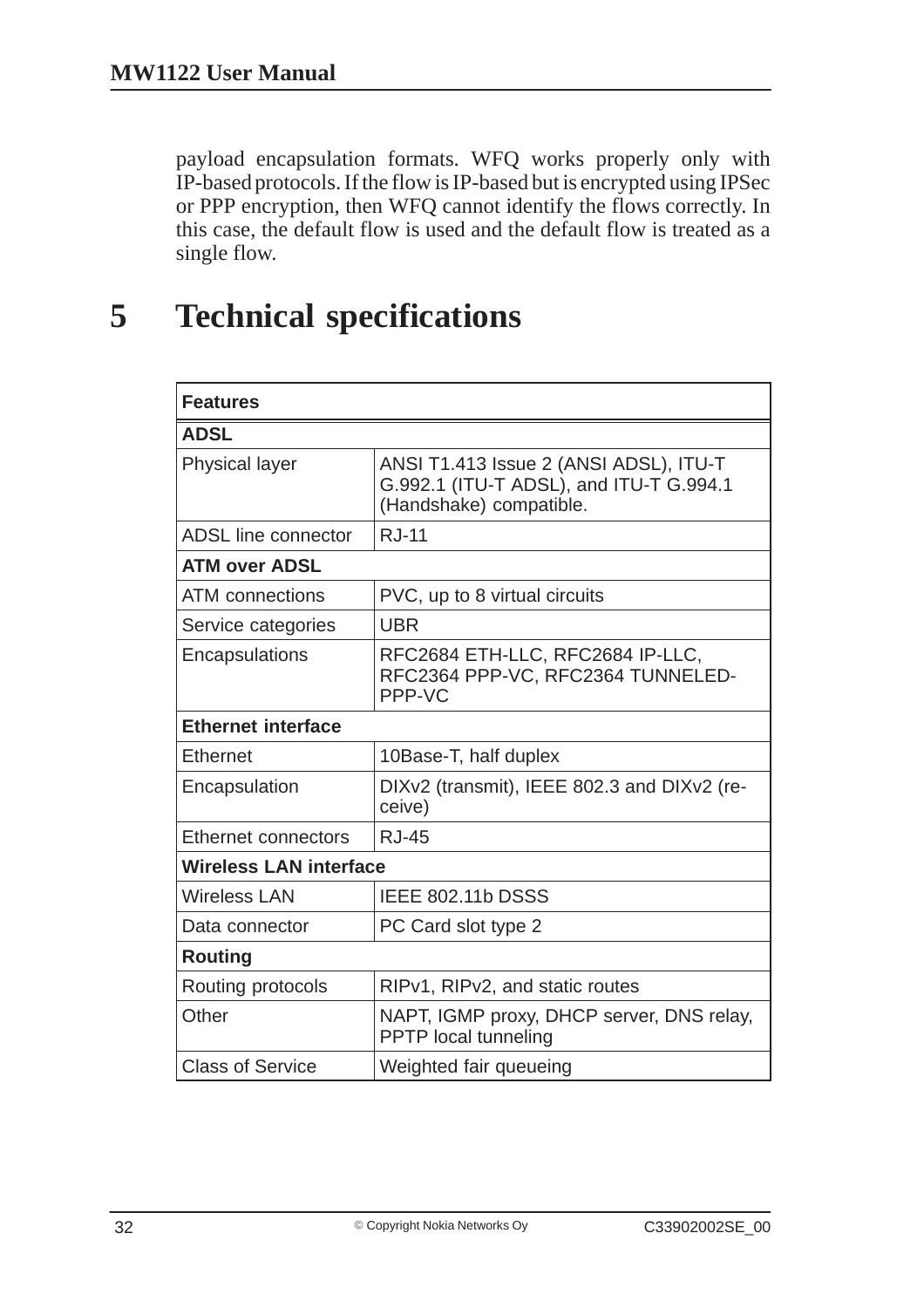payload encapsulation formats. WFQ works properly only with IP-based protocols. If the flow is IP-based but is encrypted using IPSec or PPP encryption, then WFQ cannot identify the flows correctly. In this case, the default flow is used and the default flow is treated as a single flow.

## **5 Technical specifications**

| <b>Features</b>               |                                                                                                              |  |  |
|-------------------------------|--------------------------------------------------------------------------------------------------------------|--|--|
| <b>ADSL</b>                   |                                                                                                              |  |  |
| <b>Physical layer</b>         | ANSI T1.413 Issue 2 (ANSI ADSL), ITU-T<br>G.992.1 (ITU-T ADSL), and ITU-T G.994.1<br>(Handshake) compatible. |  |  |
| <b>ADSL line connector</b>    | <b>RJ-11</b>                                                                                                 |  |  |
| <b>ATM over ADSL</b>          |                                                                                                              |  |  |
| <b>ATM</b> connections        | PVC, up to 8 virtual circuits                                                                                |  |  |
| Service categories            | <b>UBR</b>                                                                                                   |  |  |
| Encapsulations                | RFC2684 ETH-LLC, RFC2684 IP-LLC,<br>RFC2364 PPP-VC, RFC2364 TUNNELED-<br>PPP-VC                              |  |  |
| <b>Ethernet interface</b>     |                                                                                                              |  |  |
| <b>Ethernet</b>               | 10Base-T, half duplex                                                                                        |  |  |
| Encapsulation                 | DIXv2 (transmit), IEEE 802.3 and DIXv2 (re-<br>ceive)                                                        |  |  |
| Ethernet connectors           | <b>RJ-45</b>                                                                                                 |  |  |
| <b>Wireless LAN interface</b> |                                                                                                              |  |  |
| <b>Wireless LAN</b>           | <b>IEEE 802.11b DSSS</b>                                                                                     |  |  |
| Data connector                | PC Card slot type 2                                                                                          |  |  |
| <b>Routing</b>                |                                                                                                              |  |  |
| Routing protocols             | RIPv1, RIPv2, and static routes                                                                              |  |  |
| Other                         | NAPT, IGMP proxy, DHCP server, DNS relay,<br><b>PPTP</b> local tunneling                                     |  |  |
| <b>Class of Service</b>       | Weighted fair queueing                                                                                       |  |  |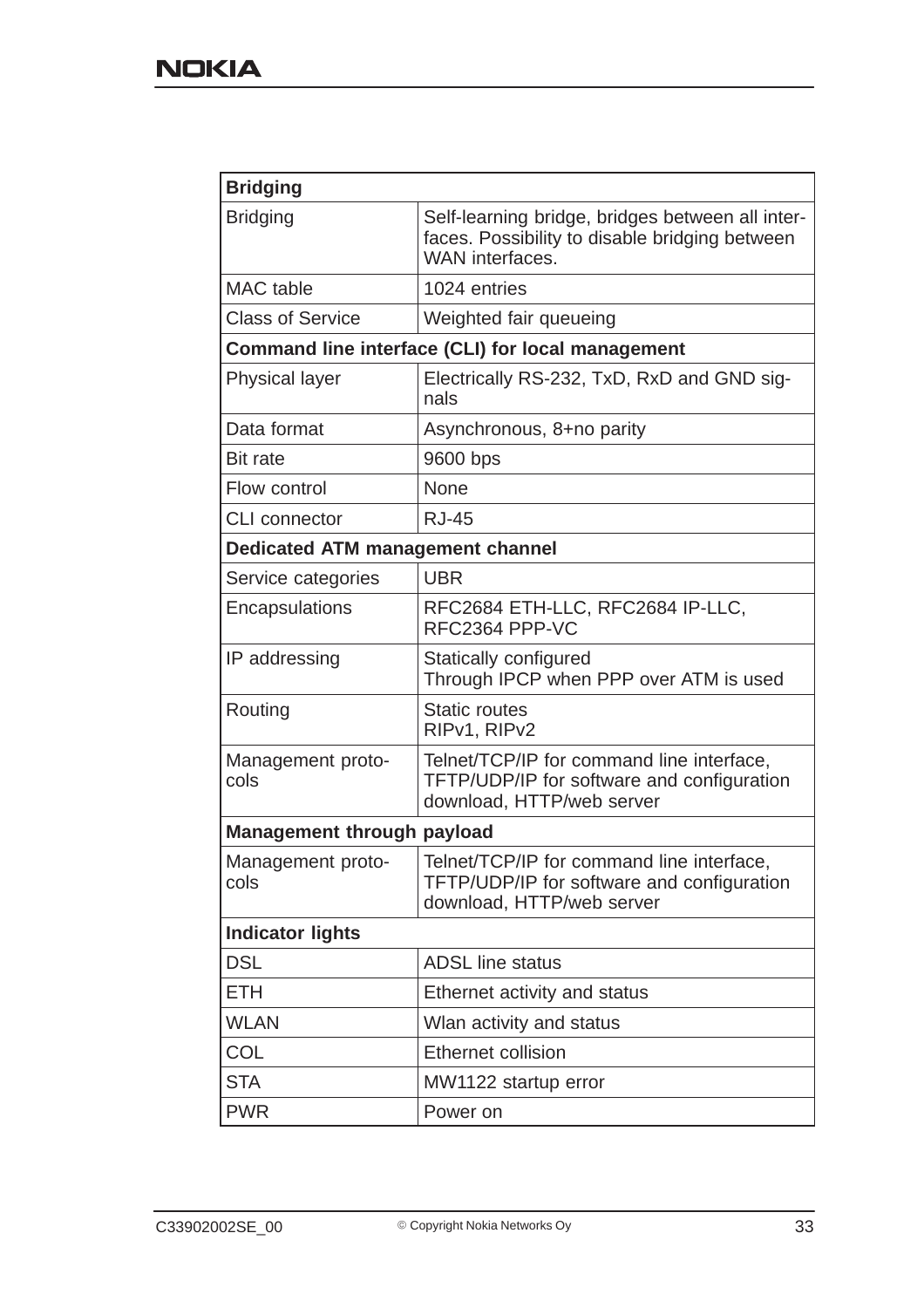| <b>Bridging</b>                         |                                                                                                                       |  |  |
|-----------------------------------------|-----------------------------------------------------------------------------------------------------------------------|--|--|
| <b>Bridging</b>                         | Self-learning bridge, bridges between all inter-<br>faces. Possibility to disable bridging between<br>WAN interfaces. |  |  |
| <b>MAC</b> table                        | 1024 entries                                                                                                          |  |  |
| <b>Class of Service</b>                 | Weighted fair queueing                                                                                                |  |  |
|                                         | Command line interface (CLI) for local management                                                                     |  |  |
| <b>Physical layer</b>                   | Electrically RS-232, TxD, RxD and GND sig-<br>nals                                                                    |  |  |
| Data format                             | Asynchronous, 8+no parity                                                                                             |  |  |
| <b>Bit rate</b>                         | 9600 bps                                                                                                              |  |  |
| Flow control                            | <b>None</b>                                                                                                           |  |  |
| <b>CLI</b> connector                    | <b>RJ-45</b>                                                                                                          |  |  |
| <b>Dedicated ATM management channel</b> |                                                                                                                       |  |  |
| Service categories                      | <b>UBR</b>                                                                                                            |  |  |
| Encapsulations                          | RFC2684 ETH-LLC, RFC2684 IP-LLC,<br>RFC2364 PPP-VC                                                                    |  |  |
| IP addressing                           | Statically configured<br>Through IPCP when PPP over ATM is used                                                       |  |  |
| Routing                                 | <b>Static routes</b><br>RIPv1, RIPv2                                                                                  |  |  |
| Management proto-<br>cols               | Telnet/TCP/IP for command line interface,<br>TFTP/UDP/IP for software and configuration<br>download, HTTP/web server  |  |  |
| <b>Management through payload</b>       |                                                                                                                       |  |  |
| Management proto-<br>cols               | Telnet/TCP/IP for command line interface,<br>TFTP/UDP/IP for software and configuration<br>download, HTTP/web server  |  |  |
| <b>Indicator lights</b>                 |                                                                                                                       |  |  |
| <b>DSL</b>                              | <b>ADSL</b> line status                                                                                               |  |  |
| <b>ETH</b>                              | Ethernet activity and status                                                                                          |  |  |
| <b>WLAN</b>                             | Wlan activity and status                                                                                              |  |  |
| <b>COL</b>                              | <b>Ethernet collision</b>                                                                                             |  |  |
| <b>STA</b>                              | MW1122 startup error                                                                                                  |  |  |
| <b>PWR</b>                              | Power on                                                                                                              |  |  |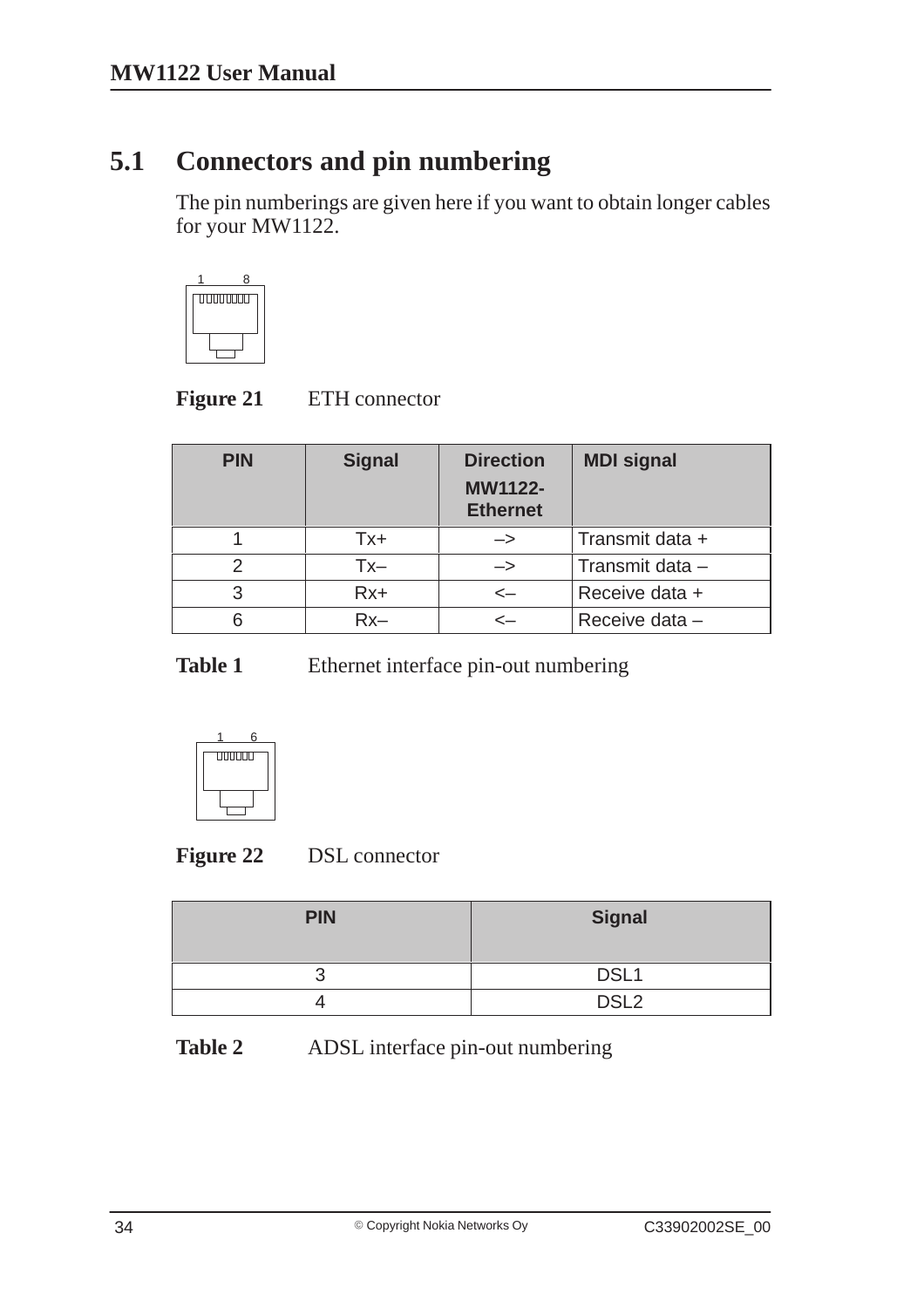## **5.1 Connectors and pin numbering**

The pin numberings are given here if you want to obtain longer cables for your MW1122.



| <b>Figure 21</b> | ETH connector |
|------------------|---------------|
|                  |               |

| <b>PIN</b>    | <b>Signal</b> | <b>Direction</b><br><b>MW1122-</b><br><b>Ethernet</b> | <b>MDI signal</b> |
|---------------|---------------|-------------------------------------------------------|-------------------|
|               | Tx+           | $\rightarrow$                                         | Transmit data +   |
| $\mathcal{P}$ | Tx–           | $\rightarrow$                                         | Transmit data -   |
| 3             | $Rx+$         | $\leftarrow$                                          | Receive data +    |
| 6             | $Rx-$         | <—                                                    | Receive data -    |

Table 1 Ethernet interface pin-out numbering



| <b>PIN</b> | <b>Signal</b>    |
|------------|------------------|
| u          | DSL <sub>1</sub> |
| ↵          | DSL <sub>2</sub> |

**Table 2** ADSL interface pin-out numbering